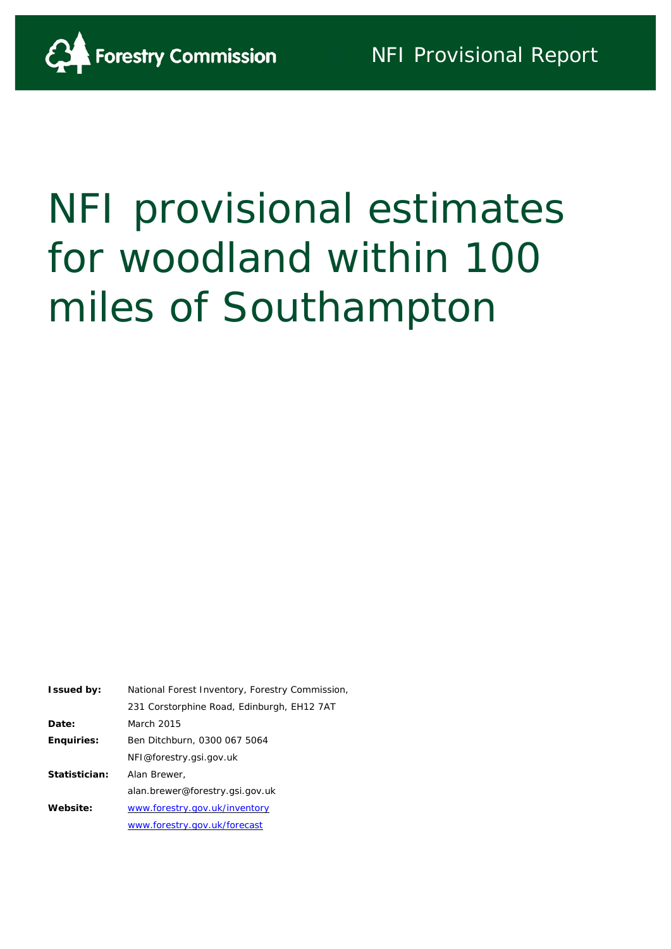

# NFI provisional estimates for woodland within 100 miles of Southampton

| <b>Issued by:</b> | National Forest Inventory, Forestry Commission, |  |  |  |
|-------------------|-------------------------------------------------|--|--|--|
|                   | 231 Corstorphine Road, Edinburgh, EH12 7AT      |  |  |  |
| Date:             | March 2015                                      |  |  |  |
| <b>Enquiries:</b> | Ben Ditchburn, 0300 067 5064                    |  |  |  |
|                   | NFI@forestry.gsi.gov.uk                         |  |  |  |
| Statistician:     | Alan Brewer,                                    |  |  |  |
|                   | alan.brewer@forestry.gsi.gov.uk                 |  |  |  |
| Website:          | www.forestry.gov.uk/inventory                   |  |  |  |
|                   | www.forestry.gov.uk/forecast                    |  |  |  |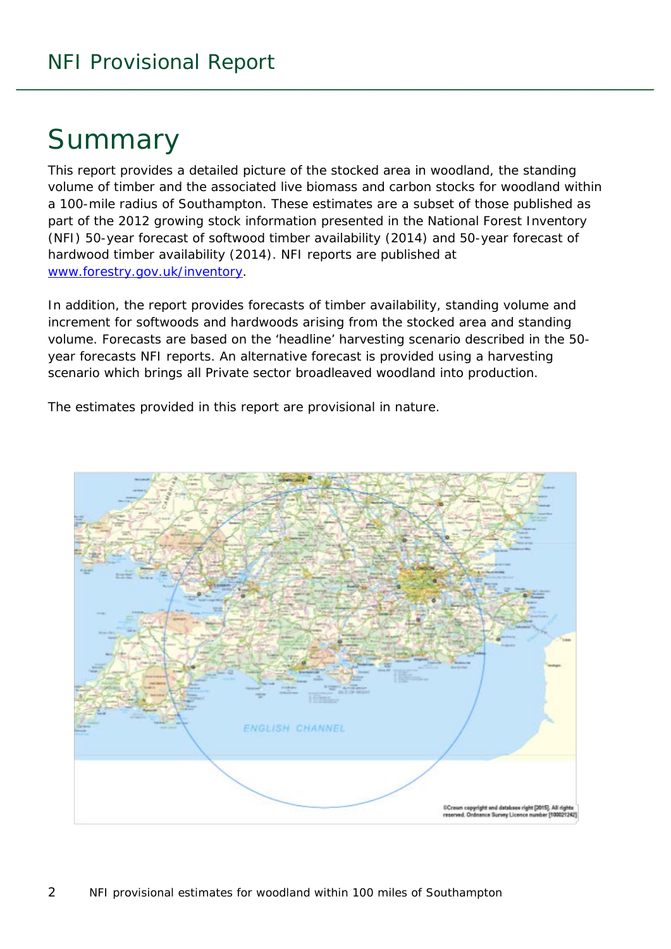# Summary

This report provides a detailed picture of the stocked area in woodland, the standing volume of timber and the associated live biomass and carbon stocks for woodland within a 100-mile radius of Southampton. These estimates are a subset of those published as part of the 2012 growing stock information presented in the National Forest Inventory (NFI) *50-year forecast of softwood timber availability* (2014) and *50-year forecast of hardwood timber availability* (2014). NFI reports are published at [www.forestry.gov.uk/inventory.](http://www.forestry.gov.uk/inventory)

In addition, the report provides forecasts of timber availability, standing volume and increment for softwoods and hardwoods arising from the stocked area and standing volume. Forecasts are based on the 'headline' harvesting scenario described in the 50 year forecasts NFI reports. An alternative forecast is provided using a harvesting scenario which brings all Private sector broadleaved woodland into production.

The estimates provided in this report are provisional in nature.

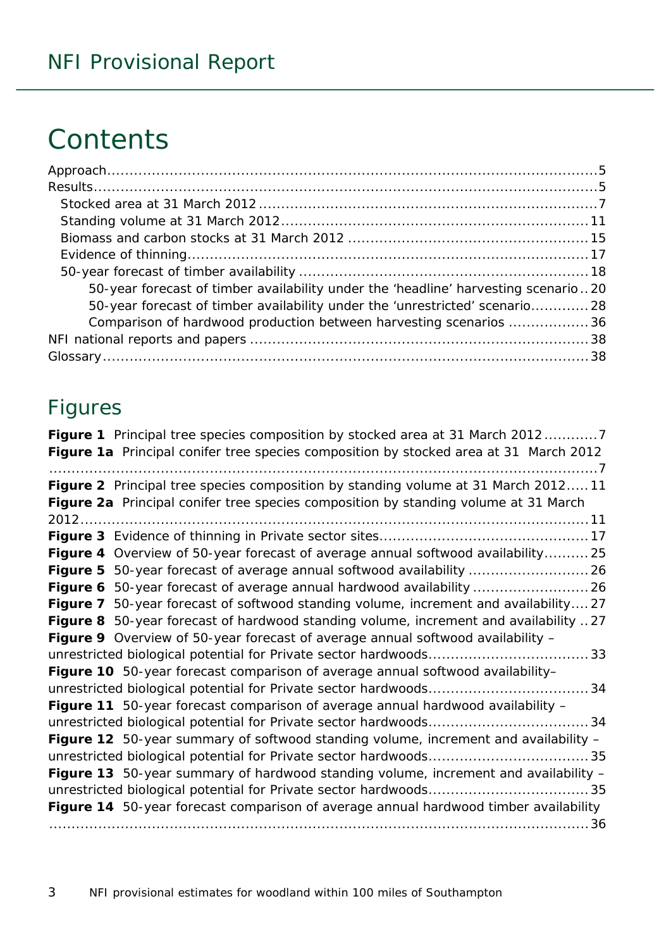# **Contents**

| 50-year forecast of timber availability under the 'headline' harvesting scenario20 |  |
|------------------------------------------------------------------------------------|--|
| 50-year forecast of timber availability under the 'unrestricted' scenario 28       |  |
| Comparison of hardwood production between harvesting scenarios 36                  |  |
|                                                                                    |  |
|                                                                                    |  |

### Figures

| Figure 1 Principal tree species composition by stocked area at 31 March 20127         |
|---------------------------------------------------------------------------------------|
| Figure 1a Principal conifer tree species composition by stocked area at 31 March 2012 |
|                                                                                       |
| Figure 2 Principal tree species composition by standing volume at 31 March 201211     |
| Figure 2a Principal conifer tree species composition by standing volume at 31 March   |
|                                                                                       |
|                                                                                       |
| Figure 4 Overview of 50-year forecast of average annual softwood availability 25      |
|                                                                                       |
|                                                                                       |
| Figure 7 50-year forecast of softwood standing volume, increment and availability27   |
| Figure 8 50-year forecast of hardwood standing volume, increment and availability 27  |
| Figure 9 Overview of 50-year forecast of average annual softwood availability -       |
|                                                                                       |
| Figure 10 50-year forecast comparison of average annual softwood availability-        |
|                                                                                       |
| Figure 11 50-year forecast comparison of average annual hardwood availability -       |
|                                                                                       |
| Figure 12 50-year summary of softwood standing volume, increment and availability -   |
|                                                                                       |
| Figure 13 50-year summary of hardwood standing volume, increment and availability -   |
|                                                                                       |
| Figure 14 50-year forecast comparison of average annual hardwood timber availability  |
|                                                                                       |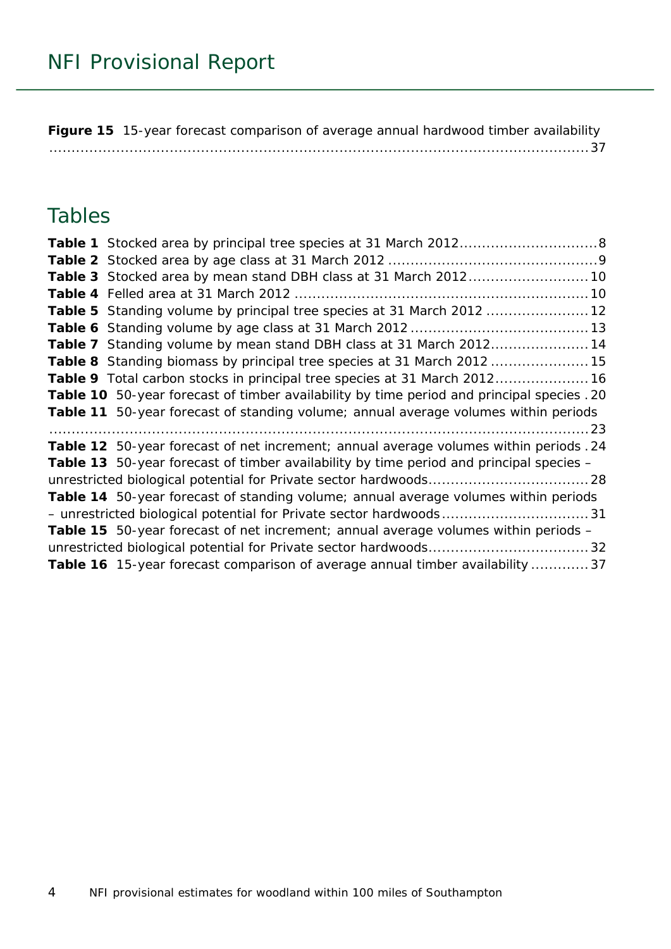**Figure 15** [15-year forecast comparison of average annual hardwood timber availability](#page-36-0) [.........................................................................................................................37](#page-36-0)

### Tables

| Table 5 Standing volume by principal tree species at 31 March 2012  12                         |  |
|------------------------------------------------------------------------------------------------|--|
|                                                                                                |  |
| Table 7 Standing volume by mean stand DBH class at 31 March 201214                             |  |
| Table 8 Standing biomass by principal tree species at 31 March 2012 15                         |  |
| Table 9 Total carbon stocks in principal tree species at 31 March 2012 16                      |  |
| Table 10 50-year forecast of timber availability by time period and principal species . 20     |  |
| Table 11 50-year forecast of standing volume; annual average volumes within periods            |  |
|                                                                                                |  |
| Table 12 50-year forecast of net increment; annual average volumes within periods . 24         |  |
| <b>Table 13</b> 50-year forecast of timber availability by time period and principal species – |  |
|                                                                                                |  |
| Table 14 50-year forecast of standing volume; annual average volumes within periods            |  |
|                                                                                                |  |
| <b>Table 15</b> 50-year forecast of net increment; annual average volumes within periods -     |  |
|                                                                                                |  |
|                                                                                                |  |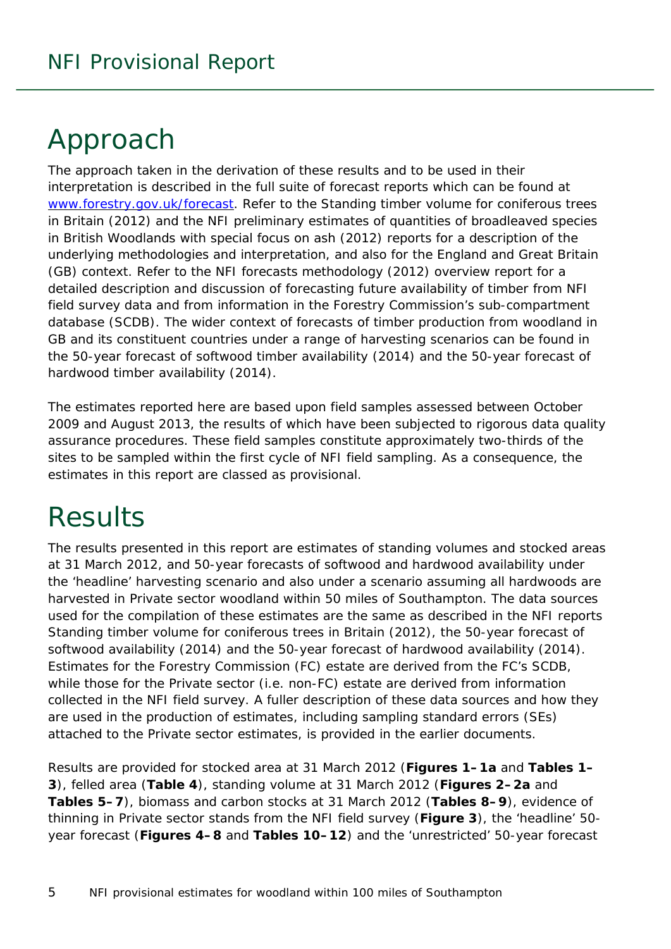# <span id="page-4-0"></span>Approach

<span id="page-4-1"></span>The approach taken in the derivation of these results and to be used in their interpretation is described in the full suite of forecast reports which can be found at [www.forestry.gov.uk/forecast.](http://www.forestry.gov.uk/forecast) Refer to the *Standing timber volume for coniferous trees in Britain* (2012) and the *NFI preliminary estimates of quantities of broadleaved species in British Woodlands with special focus on ash* (2012) reports for a description of the underlying methodologies and interpretation, and also for the England and Great Britain (GB) context. Refer to the *NFI forecasts methodology* (2012) overview report for a detailed description and discussion of forecasting future availability of timber from NFI field survey data and from information in the Forestry Commission's sub-compartment database (SCDB). The wider context of forecasts of timber production from woodland in GB and its constituent countries under a range of harvesting scenarios can be found in the *50-year forecast of softwood timber availability* (2014) and the *50-year forecast of hardwood timber availability* (2014).

The estimates reported here are based upon field samples assessed between October 2009 and August 2013, the results of which have been subjected to rigorous data quality assurance procedures. These field samples constitute approximately two-thirds of the sites to be sampled within the first cycle of NFI field sampling. As a consequence, the estimates in this report are classed as provisional.

# **Results**

The results presented in this report are estimates of standing volumes and stocked areas at 31 March 2012, and 50-year forecasts of softwood and hardwood availability under the 'headline' harvesting scenario and also under a scenario assuming all hardwoods are harvested in Private sector woodland within 50 miles of Southampton. The data sources used for the compilation of these estimates are the same as described in the NFI reports *Standing timber volume for coniferous trees in Britain* (2012), the *50-year forecast of softwood availability* (2014) and the *50-year forecast of hardwood availability* (2014). Estimates for the Forestry Commission (FC) estate are derived from the FC's SCDB, while those for the Private sector (i.e. non-FC) estate are derived from information collected in the NFI field survey. A fuller description of these data sources and how they are used in the production of estimates, including sampling standard errors (SEs) attached to the Private sector estimates, is provided in the earlier documents.

Results are provided for stocked area at 31 March 2012 (**Figures 1–1a** and **Tables 1– 3**), felled area (**Table 4**), standing volume at 31 March 2012 (**Figures 2–2a** and **Tables 5–7**), biomass and carbon stocks at 31 March 2012 (**Tables 8–9**), evidence of thinning in Private sector stands from the NFI field survey (**Figure 3**), the 'headline' 50 year forecast (**Figures 4–8** and **Tables 10–12**) and the 'unrestricted' 50-year forecast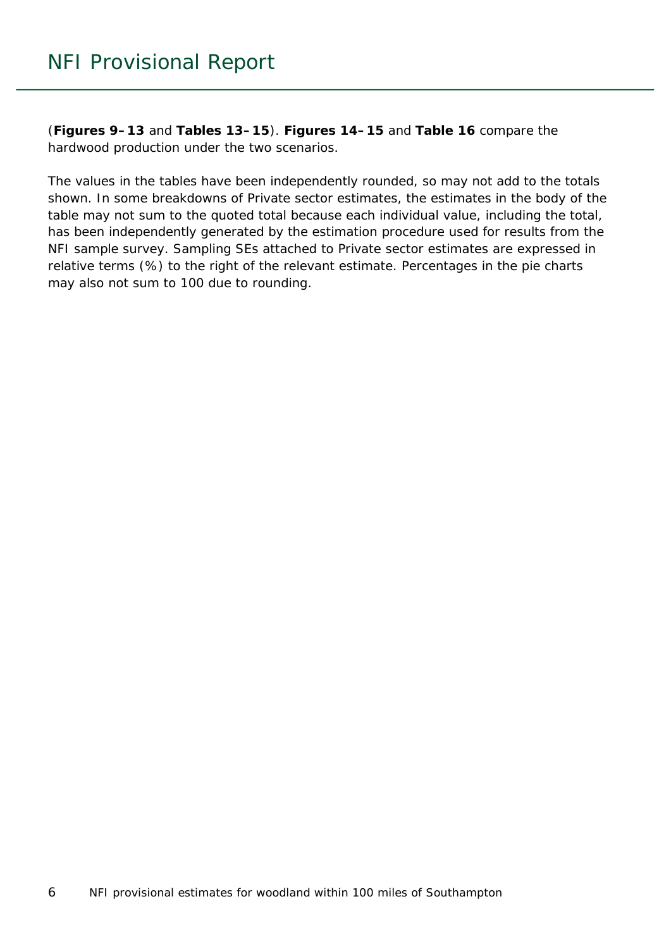(**Figures 9–13** and **Tables 13–15**). **Figures 14–15** and **Table 16** compare the hardwood production under the two scenarios.

The values in the tables have been independently rounded, so may not add to the totals shown. In some breakdowns of Private sector estimates, the estimates in the body of the table may not sum to the quoted total because each individual value, including the total, has been independently generated by the estimation procedure used for results from the NFI sample survey. Sampling SEs attached to Private sector estimates are expressed in relative terms (%) to the right of the relevant estimate. Percentages in the pie charts may also not sum to 100 due to rounding.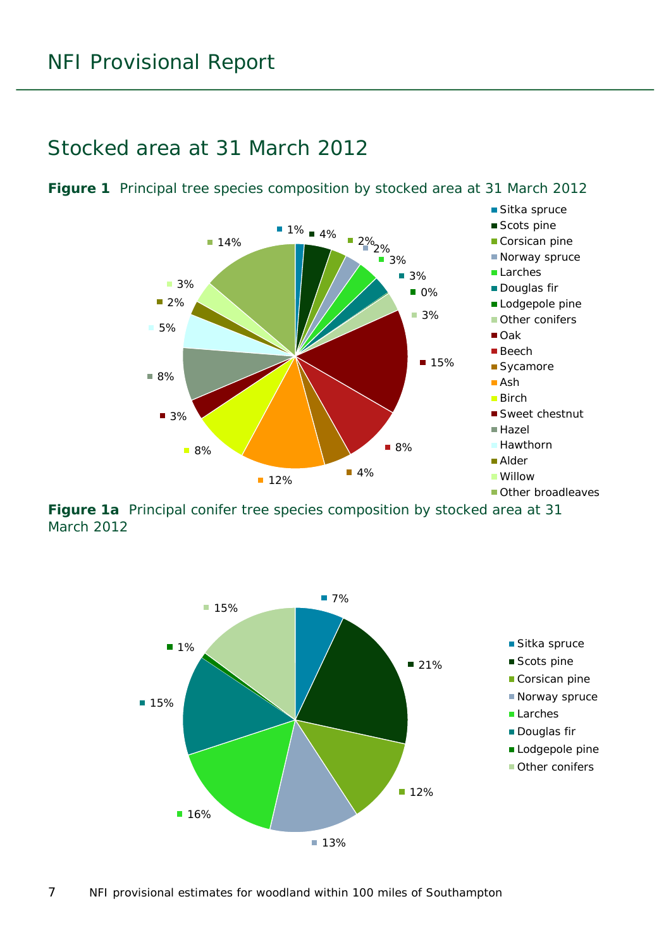#### <span id="page-6-0"></span>Stocked area at 31 March 2012



<span id="page-6-1"></span>**Figure 1** Principal tree species composition by stocked area at 31 March 2012

<span id="page-6-2"></span>**Figure 1a** Principal conifer tree species composition by stocked area at 31 March 2012

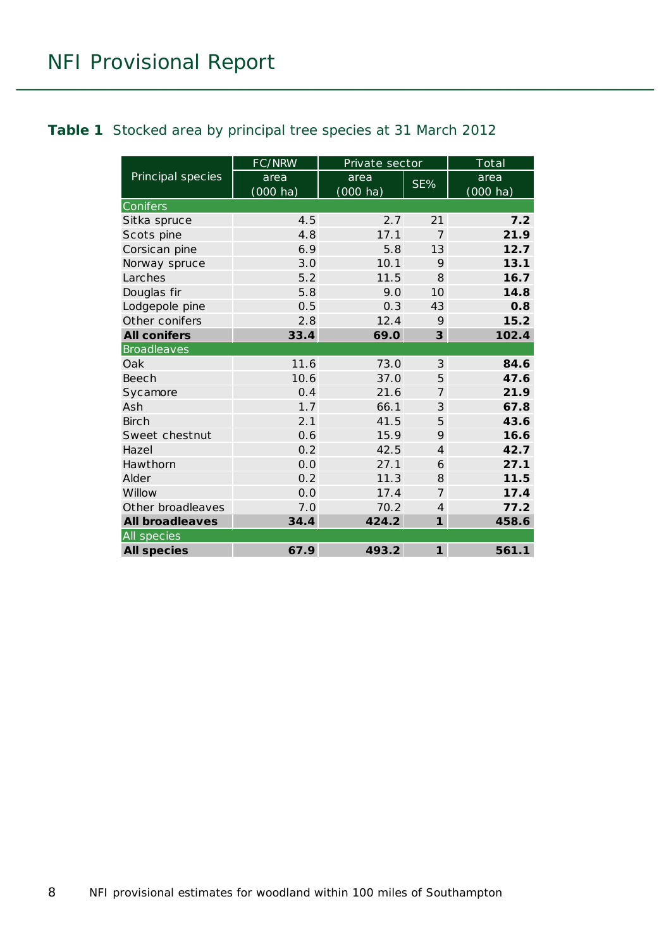#### <span id="page-7-0"></span>**Table 1** Stocked area by principal tree species at 31 March 2012

|                        | FC/NRW                     | Private sector             |                | Total                      |
|------------------------|----------------------------|----------------------------|----------------|----------------------------|
| Principal species      | area<br>$(000 \text{ ha})$ | area<br>$(000 \text{ ha})$ | SE%            | area<br>$(000 \text{ ha})$ |
| Conifers               |                            |                            |                |                            |
| Sitka spruce           | 4.5                        | 2.7                        | 21             | 7.2                        |
| Scots pine             | 4.8                        | 17.1                       | $\overline{7}$ | 21.9                       |
| Corsican pine          | 6.9                        | 5.8                        | 13             | 12.7                       |
| Norway spruce          | 3.0                        | 10.1                       | 9              | 13.1                       |
| Larches                | 5.2                        | 11.5                       | 8              | 16.7                       |
| Douglas fir            | 5.8                        | 9.0                        | 10             | 14.8                       |
| Lodgepole pine         | 0.5                        | 0.3                        | 43             | 0.8                        |
| Other conifers         | 2.8                        | 12.4                       | 9              | 15.2                       |
| <b>All conifers</b>    | 33.4                       | 69.0                       | 3              | 102.4                      |
| <b>Broadleaves</b>     |                            |                            |                |                            |
| Oak                    | 11.6                       | 73.0                       | 3              | 84.6                       |
| Beech                  | 10.6                       | 37.0                       | 5              | 47.6                       |
| Sycamore               | 0.4                        | 21.6                       | $\overline{7}$ | 21.9                       |
| Ash                    | 1.7                        | 66.1                       | 3              | 67.8                       |
| <b>Birch</b>           | 2.1                        | 41.5                       | 5              | 43.6                       |
| Sweet chestnut         | 0.6                        | 15.9                       | 9              | 16.6                       |
| Hazel                  | 0.2                        | 42.5                       | $\overline{4}$ | 42.7                       |
| Hawthorn               | 0.0                        | 27.1                       | 6              | 27.1                       |
| Alder                  | 0.2                        | 11.3                       | 8              | 11.5                       |
| Willow                 | 0.0                        | 17.4                       | $\overline{7}$ | 17.4                       |
| Other broadleaves      | 7.0                        | 70.2                       | $\overline{4}$ | 77.2                       |
| <b>All broadleaves</b> | 34.4                       | 424.2                      | $\mathbf{1}$   | 458.6                      |
| All species            |                            |                            |                |                            |
| <b>All species</b>     | 67.9                       | 493.2                      | $\mathbf{1}$   | 561.1                      |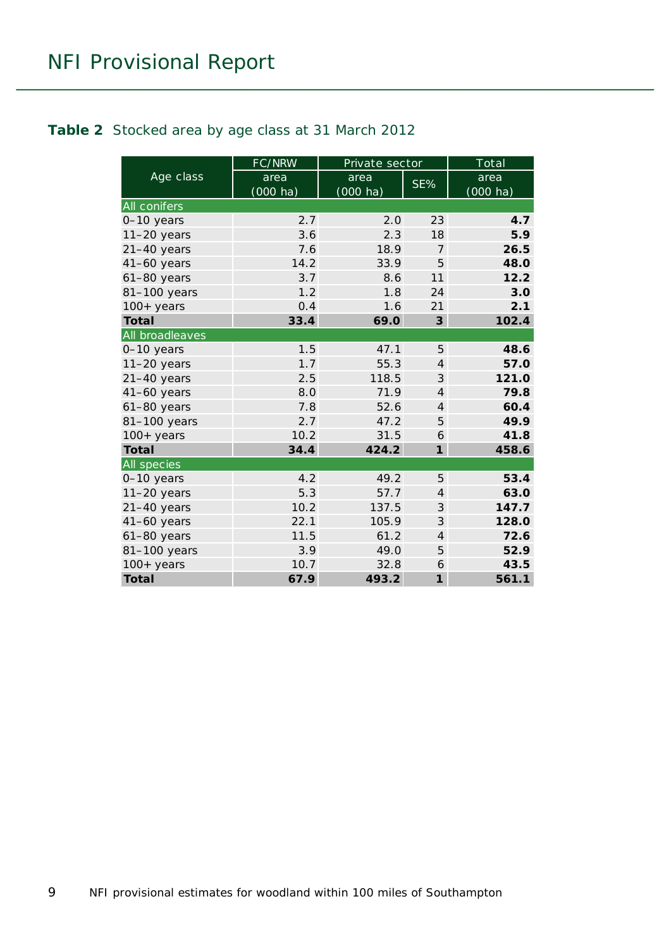#### <span id="page-8-0"></span>**Table 2** Stocked area by age class at 31 March 2012

|                     | FC/NRW             | Private sector     |                | Total              |
|---------------------|--------------------|--------------------|----------------|--------------------|
| Age class           | area               | area               | SE%            | area               |
|                     | $(000 \text{ ha})$ | $(000 \text{ ha})$ |                | $(000 \text{ ha})$ |
| <b>All conifers</b> |                    |                    |                |                    |
| 0-10 years          | 2.7                | 2.0                | 23             | 4.7                |
| $11-20$ years       | 3.6                | 2.3                | 18             | 5.9                |
| $21-40$ years       | 7.6                | 18.9               | $\overline{7}$ | 26.5               |
| $41-60$ years       | 14.2               | 33.9               | 5              | 48.0               |
| $61-80$ years       | 3.7                | 8.6                | 11             | 12.2               |
| 81-100 years        | 1.2                | 1.8                | 24             | 3.0                |
| $100+$ years        | 0.4                | 1.6                | 21             | 2.1                |
| <b>Total</b>        | 33.4               | 69.0               | 3              | 102.4              |
| All broadleaves     |                    |                    |                |                    |
| $0-10$ years        | 1.5                | 47.1               | 5              | 48.6               |
| $11-20$ years       | 1.7                | 55.3               | $\overline{4}$ | 57.0               |
| $21-40$ years       | 2.5                | 118.5              | 3              | 121.0              |
| $41-60$ years       | 8.0                | 71.9               | $\overline{4}$ | 79.8               |
| $61-80$ years       | 7.8                | 52.6               | $\overline{4}$ | 60.4               |
| 81-100 years        | 2.7                | 47.2               | 5              | 49.9               |
| $100+$ years        | 10.2               | 31.5               | 6              | 41.8               |
| <b>Total</b>        | 34.4               | 424.2              | $\mathbf{1}$   | 458.6              |
| All species         |                    |                    |                |                    |
| 0-10 years          | 4.2                | 49.2               | 5              | 53.4               |
| $11-20$ years       | 5.3                | 57.7               | $\overline{4}$ | 63.0               |
| $21-40$ years       | 10.2               | 137.5              | 3              | 147.7              |
| $41-60$ years       | 22.1               | 105.9              | 3              | 128.0              |
| 61-80 years         | 11.5               | 61.2               | $\overline{4}$ | 72.6               |
| 81-100 years        | 3.9                | 49.0               | 5              | 52.9               |
| $100+$ years        | 10.7               | 32.8               | 6              | 43.5               |
| <b>Total</b>        | 67.9               | 493.2              | $\mathbf{1}$   | 561.1              |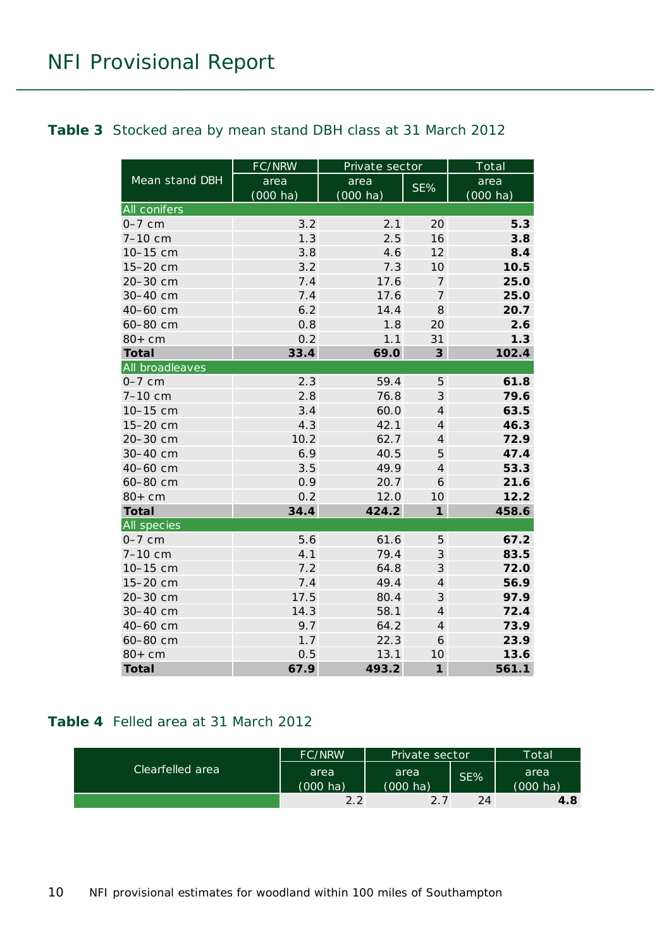#### <span id="page-9-0"></span>**Table 3** Stocked area by mean stand DBH class at 31 March 2012

|                 | FC/NRW             | Private sector     |                         | Total              |
|-----------------|--------------------|--------------------|-------------------------|--------------------|
| Mean stand DBH  | area               | area               | SE%                     | area               |
|                 | $(000 \text{ ha})$ | $(000 \text{ ha})$ |                         | $(000 \text{ ha})$ |
| All conifers    |                    |                    |                         |                    |
| $0-7$ cm        | 3.2                | 2.1                | 20                      | 5.3                |
| $7 - 10$ cm     | 1.3                | 2.5                | 16                      | 3.8                |
| 10-15 cm        | 3.8                | 4.6                | 12                      | 8.4                |
| 15-20 cm        | 3.2                | 7.3                | 10                      | 10.5               |
| 20-30 cm        | 7.4                | 17.6               | $\boldsymbol{7}$        | 25.0               |
| 30-40 cm        | 7.4                | 17.6               | $\boldsymbol{7}$        | 25.0               |
| 40-60 cm        | 6.2                | 14.4               | 8                       | 20.7               |
| 60-80 cm        | 0.8                | 1.8                | 20                      | 2.6                |
| $80+cm$         | 0.2                | 1.1                | 31                      | 1.3                |
| <b>Total</b>    | 33.4               | 69.0               | $\overline{\mathbf{3}}$ | 102.4              |
| All broadleaves |                    |                    |                         |                    |
| $0-7$ cm        | 2.3                | 59.4               | 5                       | 61.8               |
| 7-10 cm         | 2.8                | 76.8               | 3                       | 79.6               |
| 10-15 cm        | 3.4                | 60.0               | $\overline{4}$          | 63.5               |
| 15-20 cm        | 4.3                | 42.1               | $\overline{4}$          | 46.3               |
| 20-30 cm        | 10.2               | 62.7               | $\overline{4}$          | 72.9               |
| 30-40 cm        | 6.9                | 40.5               | 5                       | 47.4               |
| 40-60 cm        | 3.5                | 49.9               | $\overline{4}$          | 53.3               |
| 60-80 cm        | 0.9                | 20.7               | 6                       | 21.6               |
| $80+cm$         | 0.2                | 12.0               | 10                      | 12.2               |
| <b>Total</b>    | 34.4               | 424.2              | $\mathbf{1}$            | 458.6              |
| All species     |                    |                    |                         |                    |
| $0-7$ cm        | 5.6                | 61.6               | 5                       | 67.2               |
| 7-10 cm         | 4.1                | 79.4               | $\mathcal{S}$           | 83.5               |
| 10-15 cm        | 7.2                | 64.8               | $\mathcal{S}$           | 72.0               |
| 15-20 cm        | 7.4                | 49.4               | $\overline{4}$          | 56.9               |
| 20-30 cm        | 17.5               | 80.4               | 3                       | 97.9               |
| 30-40 cm        | 14.3               | 58.1               | $\overline{4}$          | 72.4               |
| 40-60 cm        | 9.7                | 64.2               | $\overline{4}$          | 73.9               |
| 60-80 cm        | 1.7                | 22.3               | 6                       | 23.9               |
| $80+cm$         | 0.5                | 13.1               | 10                      | 13.6               |
| <b>Total</b>    | 67.9               | 493.2              | $\mathbf{1}$            | 561.1              |

#### <span id="page-9-1"></span>**Table 4** Felled area at 31 March 2012

|                  | <b>FC/NRW</b>              | Private sector             |        | Total            |
|------------------|----------------------------|----------------------------|--------|------------------|
| Clearfelled area | area<br>$(000 \text{ ha})$ | area<br>$(000 \text{ ha})$ | $SE\%$ | area<br>(000 ha) |
|                  | 2.2                        | 2.7                        | 24     | 4.8              |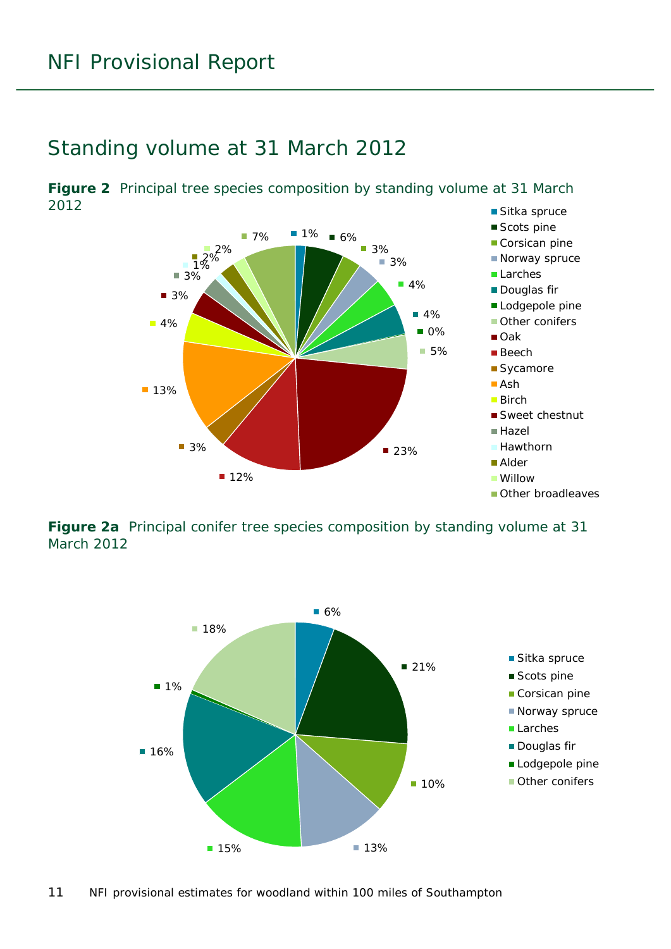#### <span id="page-10-0"></span>Standing volume at 31 March 2012

<span id="page-10-1"></span>■ Sitka spruce **Figure 2** Principal tree species composition by standing volume at 31 March 2012



<span id="page-10-2"></span>**Figure 2a** Principal conifer tree species composition by standing volume at 31 March 2012

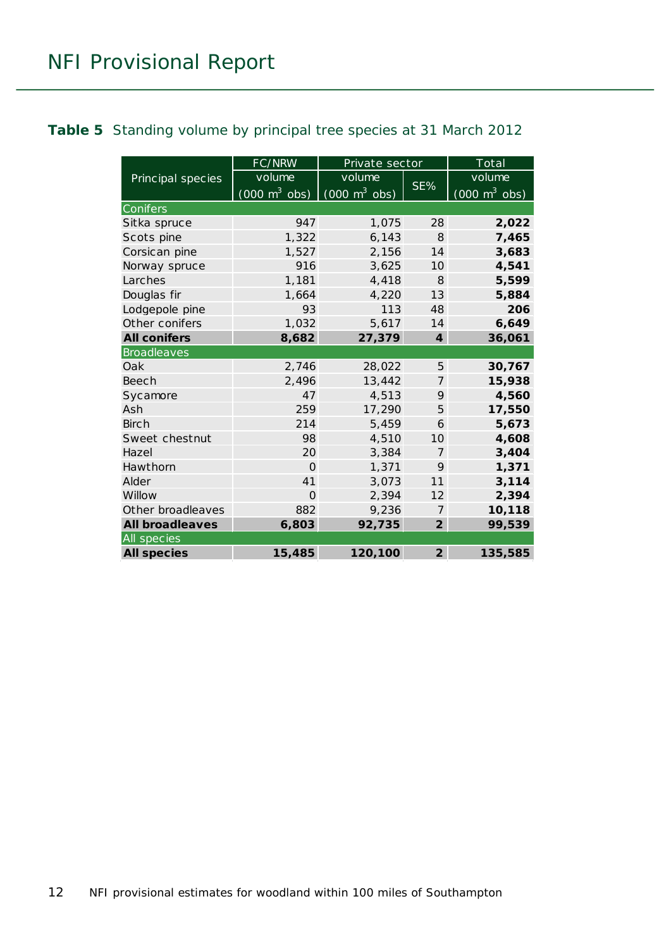#### <span id="page-11-0"></span>**Table 5** Standing volume by principal tree species at 31 March 2012

|                        | FC/NRW                          | Private sector                  |                  | $\overline{\text{Total}}$           |
|------------------------|---------------------------------|---------------------------------|------------------|-------------------------------------|
| Principal species      | volume                          | volume                          |                  | volume                              |
|                        | $(000 \text{ m}^3 \text{ obs})$ | $(000 \text{ m}^3 \text{ obs})$ | SE%              | $(000 \; \text{m}^3 \; \text{obs})$ |
| Conifers               |                                 |                                 |                  |                                     |
| Sitka spruce           | 947                             | 1,075                           | 28               | 2,022                               |
| Scots pine             | 1,322                           | 6,143                           | $\mathcal{B}$    | 7,465                               |
| Corsican pine          | 1,527                           | 2,156                           | 14               | 3,683                               |
| Norway spruce          | 916                             | 3,625                           | 10 <sup>1</sup>  | 4,541                               |
| Larches                | 1,181                           | 4,418                           | $\mathcal{B}$    | 5,599                               |
| Douglas fir            | 1,664                           | 4,220                           | 13               | 5,884                               |
| Lodgepole pine         | 93                              | 113                             | 48               | 206                                 |
| Other conifers         | 1,032                           | 5,617                           | 14               | 6,649                               |
| <b>All conifers</b>    | 8,682                           | 27,379                          | $\boldsymbol{4}$ | 36,061                              |
| <b>Broadleaves</b>     |                                 |                                 |                  |                                     |
| Oak                    | 2,746                           | 28,022                          | 5                | 30,767                              |
| Beech                  | 2,496                           | 13,442                          | $\overline{7}$   | 15,938                              |
| Sycamore               | 47                              | 4,513                           | 9                | 4,560                               |
| Ash                    | 259                             | 17,290                          | 5                | 17,550                              |
| <b>Birch</b>           | 214                             | 5,459                           | 6                | 5,673                               |
| Sweet chestnut         | 98                              | 4,510                           | 10               | 4,608                               |
| Hazel                  | 20                              | 3,384                           | $\overline{7}$   | 3,404                               |
| Hawthorn               | $\Omega$                        | 1,371                           | 9                | 1,371                               |
| Alder                  | 41                              | 3,073                           | 11               | 3,114                               |
| Willow                 | $\Omega$                        | 2,394                           | 12               | 2,394                               |
| Other broadleaves      | 882                             | 9,236                           | 7                | 10,118                              |
| <b>All broadleaves</b> | 6,803                           | 92,735                          | $\overline{2}$   | 99,539                              |
| All species            |                                 |                                 |                  |                                     |
| <b>All species</b>     | 15,485                          | 120,100                         | $\overline{2}$   | 135,585                             |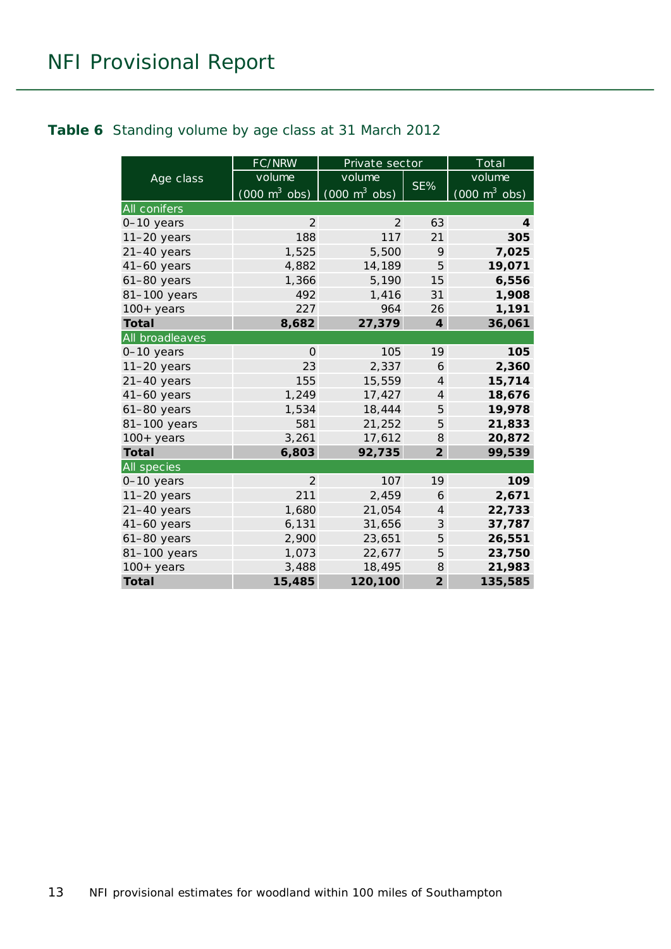#### <span id="page-12-0"></span>**Table 6** Standing volume by age class at 31 March 2012

|                 | FC/NRW                          | Private sector                  |                         | Total                           |
|-----------------|---------------------------------|---------------------------------|-------------------------|---------------------------------|
| Age class       | volume                          | volume                          |                         | volume                          |
|                 | $(000 \text{ m}^3 \text{ obs})$ | $(000 \text{ m}^3 \text{ obs})$ | SE%                     | $(000 \text{ m}^3 \text{ obs})$ |
| All conifers    |                                 |                                 |                         |                                 |
| 0-10 years      | 2                               | 2                               | 63                      | 4                               |
| $11-20$ years   | 188                             | 117                             | 21                      | 305                             |
| $21-40$ years   | 1,525                           | 5,500                           | 9                       | 7,025                           |
| $41-60$ years   | 4,882                           | 14,189                          | 5                       | 19,071                          |
| $61-80$ years   | 1,366                           | 5,190                           | 15                      | 6,556                           |
| 81-100 years    | 492                             | 1,416                           | 31                      | 1,908                           |
| $100+$ years    | 227                             | 964                             | 26                      | 1,191                           |
| <b>Total</b>    | 8,682                           | 27,379                          | $\overline{\mathbf{4}}$ | 36,061                          |
| All broadleaves |                                 |                                 |                         |                                 |
| $0-10$ years    | $\Omega$                        | 105                             | 19                      | 105                             |
| $11-20$ years   | 23                              | 2,337                           | 6                       | 2,360                           |
| $21-40$ years   | 155                             | 15,559                          | $\overline{4}$          | 15,714                          |
| $41-60$ years   | 1,249                           | 17,427                          | $\overline{4}$          | 18,676                          |
| $61-80$ years   | 1,534                           | 18,444                          | 5                       | 19,978                          |
| 81-100 years    | 581                             | 21,252                          | 5                       | 21,833                          |
| $100+$ years    | 3,261                           | 17,612                          | 8                       | 20,872                          |
| <b>Total</b>    | 6,803                           | 92,735                          | $\overline{2}$          | 99,539                          |
| All species     |                                 |                                 |                         |                                 |
| $0-10$ years    | $\overline{2}$                  | 107                             | 19                      | 109                             |
| $11-20$ years   | 211                             | 2,459                           | 6                       | 2,671                           |
| $21-40$ years   | 1,680                           | 21,054                          | $\overline{4}$          | 22,733                          |
| 41-60 years     | 6,131                           | 31,656                          | 3                       | 37,787                          |
| $61-80$ years   | 2,900                           | 23,651                          | 5                       | 26,551                          |
| 81-100 years    | 1,073                           | 22,677                          | 5                       | 23,750                          |
| $100+years$     | 3,488                           | 18,495                          | 8                       | 21,983                          |
| <b>Total</b>    | 15,485                          | 120,100                         | $\overline{2}$          | 135,585                         |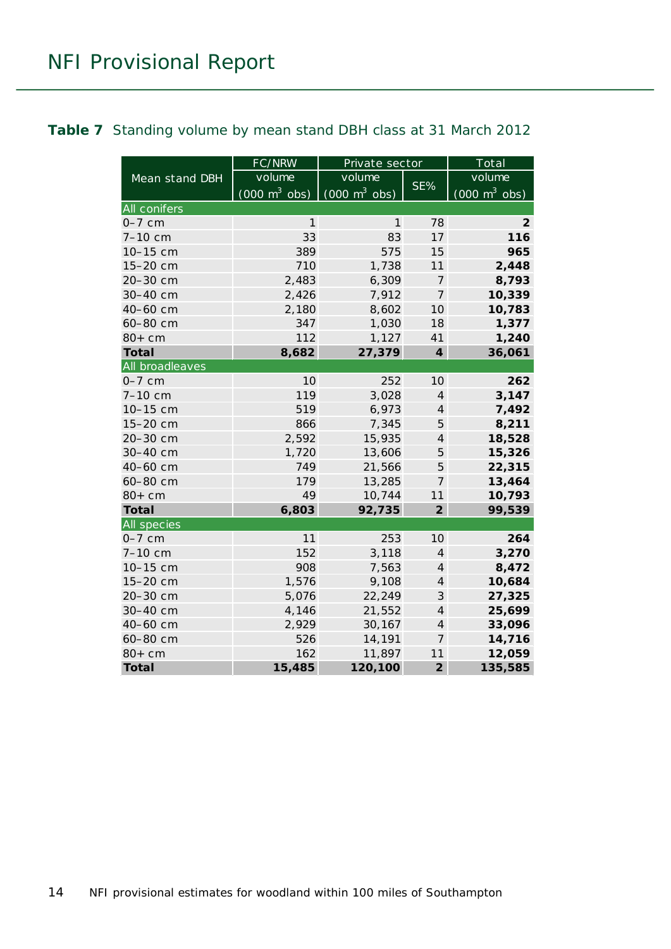#### <span id="page-13-0"></span>**Table 7** Standing volume by mean stand DBH class at 31 March 2012

|                     | FC/NRW                          | Private sector                  |                  | Total                           |
|---------------------|---------------------------------|---------------------------------|------------------|---------------------------------|
| Mean stand DBH      | volume                          | volume                          |                  | volume                          |
|                     | $(000 \text{ m}^3 \text{ obs})$ | $(000 \text{ m}^3 \text{ obs})$ | SE%              | $(000 \text{ m}^3 \text{ obs})$ |
| <b>All conifers</b> |                                 |                                 |                  |                                 |
| $0-7$ cm            | 1                               | 1                               | 78               | 2                               |
| 7-10 cm             | 33                              | 83                              | 17               | 116                             |
| 10-15 cm            | 389                             | 575                             | 15               | 965                             |
| 15-20 cm            | 710                             | 1,738                           | 11               | 2,448                           |
| 20-30 cm            | 2,483                           | 6,309                           | $\overline{7}$   | 8,793                           |
| 30-40 cm            | 2,426                           | 7,912                           | $\overline{7}$   | 10,339                          |
| 40-60 cm            | 2,180                           | 8,602                           | 10               | 10,783                          |
| 60-80 cm            | 347                             | 1,030                           | 18               | 1,377                           |
| $80+cm$             | 112                             | 1,127                           | 41               | 1,240                           |
| <b>Total</b>        | 8,682                           | 27,379                          | $\boldsymbol{4}$ | 36,061                          |
| All broadleaves     |                                 |                                 |                  |                                 |
| $0-7$ cm            | 10                              | 252                             | 10               | 262                             |
| 7-10 cm             | 119                             | 3,028                           | $\overline{4}$   | 3,147                           |
| 10-15 cm            | 519                             | 6,973                           | $\overline{4}$   | 7,492                           |
| 15-20 cm            | 866                             | 7,345                           | 5                | 8,211                           |
| 20-30 cm            | 2,592                           | 15,935                          | $\overline{4}$   | 18,528                          |
| 30-40 cm            | 1,720                           | 13,606                          | 5                | 15,326                          |
| 40-60 cm            | 749                             | 21,566                          | 5                | 22,315                          |
| 60-80 cm            | 179                             | 13,285                          | 7                | 13,464                          |
| $80+cm$             | 49                              | 10,744                          | 11               | 10,793                          |
| <b>Total</b>        | 6,803                           | 92,735                          | $\overline{2}$   | 99,539                          |
| All species         |                                 |                                 |                  |                                 |
| $0-7$ cm            | 11                              | 253                             | 10               | 264                             |
| 7-10 cm             | 152                             | 3,118                           | $\overline{4}$   | 3,270                           |
| 10-15 cm            | 908                             | 7,563                           | $\overline{4}$   | 8,472                           |
| 15-20 cm            | 1,576                           | 9,108                           | $\overline{4}$   | 10,684                          |
| 20-30 cm            | 5,076                           | 22,249                          | 3                | 27,325                          |
| 30-40 cm            | 4,146                           | 21,552                          | $\overline{4}$   | 25,699                          |
| 40-60 cm            | 2,929                           | 30,167                          | $\overline{4}$   | 33,096                          |
| 60-80 cm            | 526                             | 14,191                          | $\overline{7}$   | 14,716                          |
| $80+cm$             | 162                             | 11,897                          | 11               | 12,059                          |
| <b>Total</b>        | 15,485                          | 120,100                         | $\overline{2}$   | 135,585                         |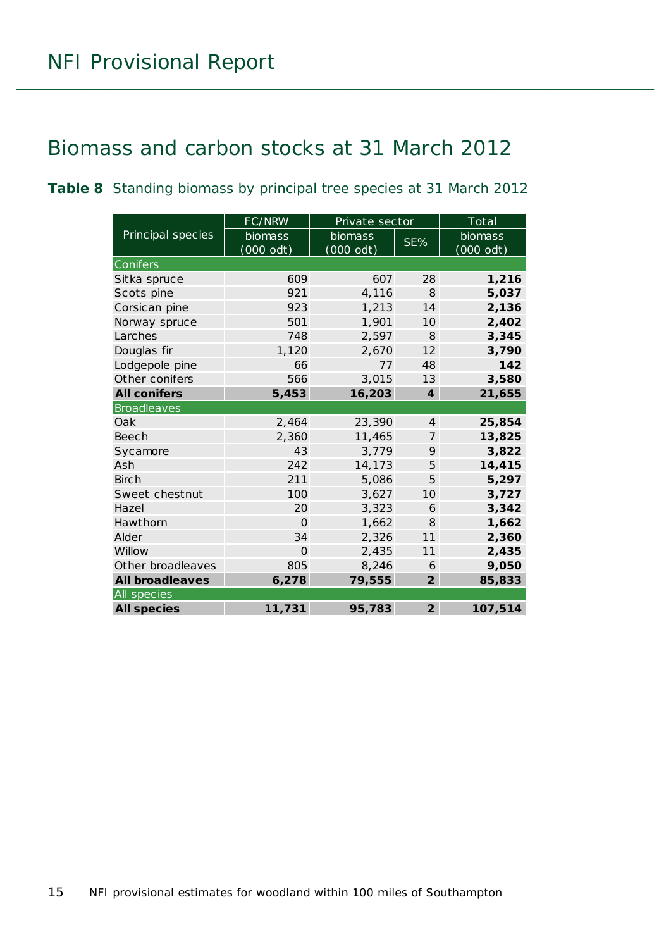### <span id="page-14-0"></span>Biomass and carbon stocks at 31 March 2012

<span id="page-14-1"></span>**Table 8** Standing biomass by principal tree species at 31 March 2012

|                        | FC/NRW    | Private sector |                         | Total     |
|------------------------|-----------|----------------|-------------------------|-----------|
| Principal species      | biomass   | <b>biomass</b> | SE%                     | biomass   |
|                        | (000 odt) | $(000$ odt)    |                         | (000 odt) |
| Conifers               |           |                |                         |           |
| Sitka spruce           | 609       | 607            | 28                      | 1,216     |
| Scots pine             | 921       | 4,116          | 8                       | 5,037     |
| Corsican pine          | 923       | 1,213          | 14                      | 2,136     |
| Norway spruce          | 501       | 1,901          | 10                      | 2,402     |
| Larches                | 748       | 2,597          | 8                       | 3,345     |
| Douglas fir            | 1,120     | 2,670          | 12                      | 3,790     |
| Lodgepole pine         | 66        | 77             | 48                      | 142       |
| Other conifers         | 566       | 3,015          | 13                      | 3,580     |
| <b>All conifers</b>    | 5,453     | 16,203         | $\overline{\mathbf{4}}$ | 21,655    |
| <b>Broadleaves</b>     |           |                |                         |           |
| Oak                    | 2,464     | 23,390         | $\overline{4}$          | 25,854    |
| Beech                  | 2,360     | 11,465         | $\overline{7}$          | 13,825    |
| Sycamore               | 43        | 3,779          | 9                       | 3,822     |
| Ash                    | 242       | 14,173         | 5                       | 14,415    |
| <b>Birch</b>           | 211       | 5,086          | 5                       | 5,297     |
| Sweet chestnut         | 100       | 3,627          | 10                      | 3,727     |
| Hazel                  | 20        | 3,323          | 6                       | 3,342     |
| Hawthorn               | $\Omega$  | 1,662          | 8                       | 1,662     |
| Alder                  | 34        | 2,326          | 11                      | 2,360     |
| Willow                 | $\Omega$  | 2,435          | 11                      | 2,435     |
| Other broadleaves      | 805       | 8,246          | 6                       | 9,050     |
| <b>All broadleaves</b> | 6,278     | 79,555         | $\overline{2}$          | 85,833    |
| All species            |           |                |                         |           |
| <b>All species</b>     | 11,731    | 95,783         | $\overline{2}$          | 107,514   |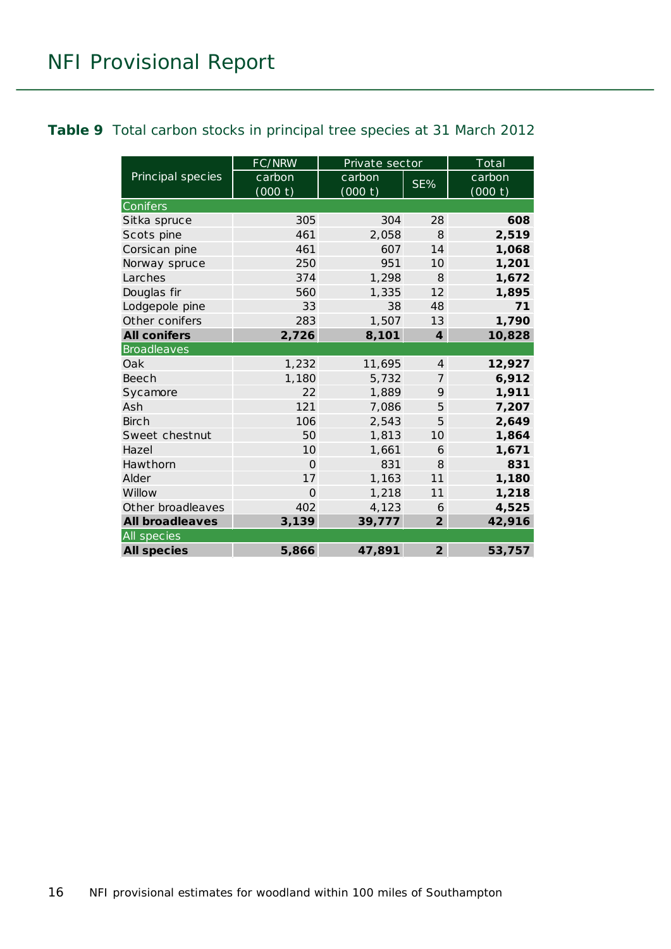#### <span id="page-15-0"></span>**Table 9** Total carbon stocks in principal tree species at 31 March 2012

|                        | FC/NRW   | Private sector |                 | Total   |  |  |
|------------------------|----------|----------------|-----------------|---------|--|--|
| Principal species      | carbon   | carbon         | SE%             | carbon  |  |  |
|                        | (000 t)  | (000 t)        |                 | (000 t) |  |  |
| Conifers               |          |                |                 |         |  |  |
| Sitka spruce           | 305      | 304            | 28              | 608     |  |  |
| Scots pine             | 461      | 2,058          | $\mathcal{B}$   | 2,519   |  |  |
| Corsican pine          | 461      | 607            | 14              | 1,068   |  |  |
| Norway spruce          | 250      | 951            | 10              | 1,201   |  |  |
| Larches                | 374      | 1,298          | $\mathcal{B}$   | 1,672   |  |  |
| Douglas fir            | 560      | 1,335          | 12              | 1,895   |  |  |
| Lodgepole pine         | 33       | 38             | 48              | 71      |  |  |
| Other conifers         | 283      | 1,507          | 13              | 1,790   |  |  |
| <b>All conifers</b>    | 2,726    | 8,101          | $\overline{4}$  | 10,828  |  |  |
| <b>Broadleaves</b>     |          |                |                 |         |  |  |
| Oak                    | 1,232    | 11,695         | $\overline{4}$  | 12,927  |  |  |
| Beech                  | 1,180    | 5,732          | 7               | 6,912   |  |  |
| Sycamore               | 22       | 1,889          | 9               | 1,911   |  |  |
| Ash                    | 121      | 7,086          | 5               | 7,207   |  |  |
| <b>Birch</b>           | 106      | 2,543          | 5               | 2,649   |  |  |
| Sweet chestnut         | 50       | 1,813          | 10 <sup>1</sup> | 1,864   |  |  |
| Hazel                  | 10       | 1,661          | 6               | 1,671   |  |  |
| Hawthorn               | $\Omega$ | 831            | 8               | 831     |  |  |
| Alder                  | 17       | 1,163          | 11              | 1,180   |  |  |
| Willow                 | $\Omega$ | 1,218          | 11              | 1,218   |  |  |
| Other broadleaves      | 402      | 4,123          | 6               | 4,525   |  |  |
| <b>All broadleaves</b> | 3,139    | 39,777         | $\overline{2}$  | 42,916  |  |  |
| All species            |          |                |                 |         |  |  |
| <b>All species</b>     | 5,866    | 47,891         | $\overline{2}$  | 53,757  |  |  |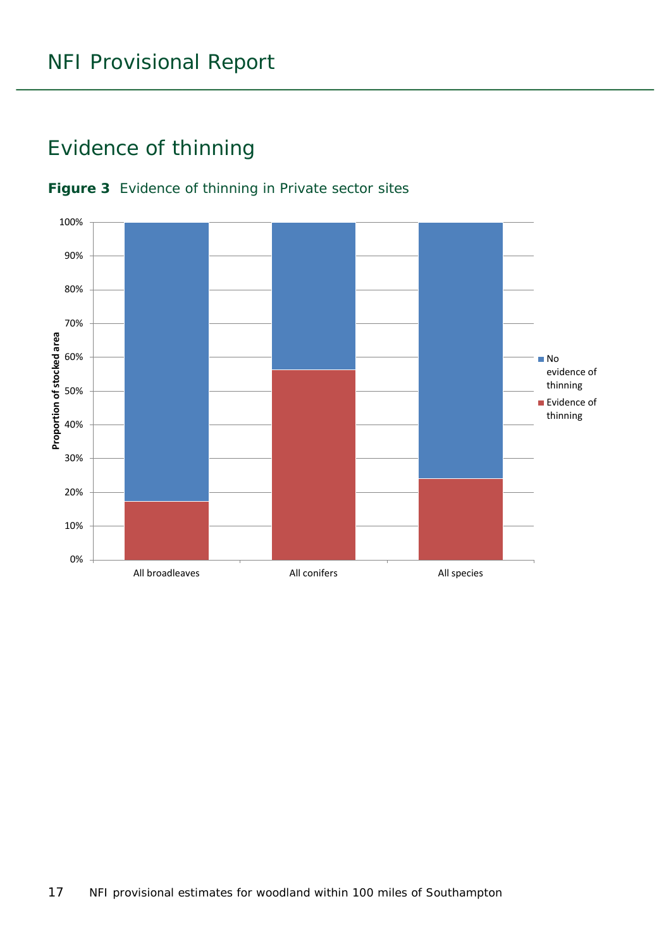### <span id="page-16-0"></span>Evidence of thinning



#### <span id="page-16-1"></span>**Figure 3** Evidence of thinning in Private sector sites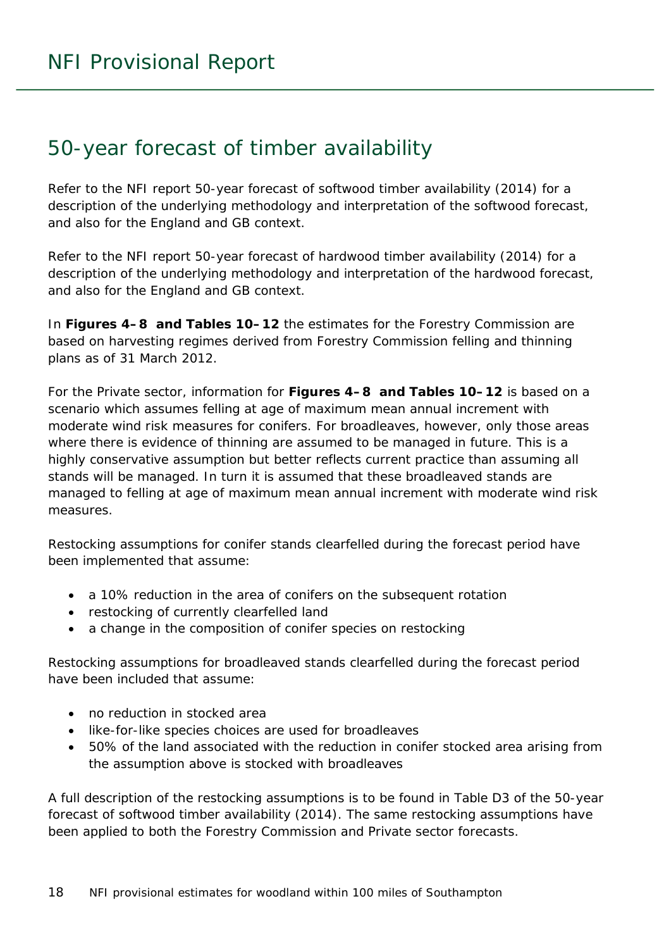### <span id="page-17-0"></span>50-year forecast of timber availability

Refer to the NFI report *50-year forecast of softwood timber availability* (2014) for a description of the underlying methodology and interpretation of the softwood forecast, and also for the England and GB context.

Refer to the NFI report *50-year forecast of hardwood timber availability* (2014) for a description of the underlying methodology and interpretation of the hardwood forecast, and also for the England and GB context.

In **Figures 4–8 and Tables 10–12** the estimates for the Forestry Commission are based on harvesting regimes derived from Forestry Commission felling and thinning plans as of 31 March 2012.

For the Private sector, information for **Figures 4–8 and Tables 10–12** is based on a scenario which assumes felling at age of maximum mean annual increment with moderate wind risk measures for conifers. For broadleaves, however, only those areas where there is evidence of thinning are assumed to be managed in future. This is a highly conservative assumption but better reflects current practice than assuming all stands will be managed. In turn it is assumed that these broadleaved stands are managed to felling at age of maximum mean annual increment with moderate wind risk measures.

Restocking assumptions for conifer stands clearfelled during the forecast period have been implemented that assume:

- a 10% reduction in the area of conifers on the subsequent rotation
- restocking of currently clearfelled land
- a change in the composition of conifer species on restocking

Restocking assumptions for broadleaved stands clearfelled during the forecast period have been included that assume:

- no reduction in stocked area
- like-for-like species choices are used for broadleaves
- 50% of the land associated with the reduction in conifer stocked area arising from the assumption above is stocked with broadleaves

A full description of the restocking assumptions is to be found in Table D3 of the *50-year forecast of softwood timber availability* (2014). The same restocking assumptions have been applied to both the Forestry Commission and Private sector forecasts.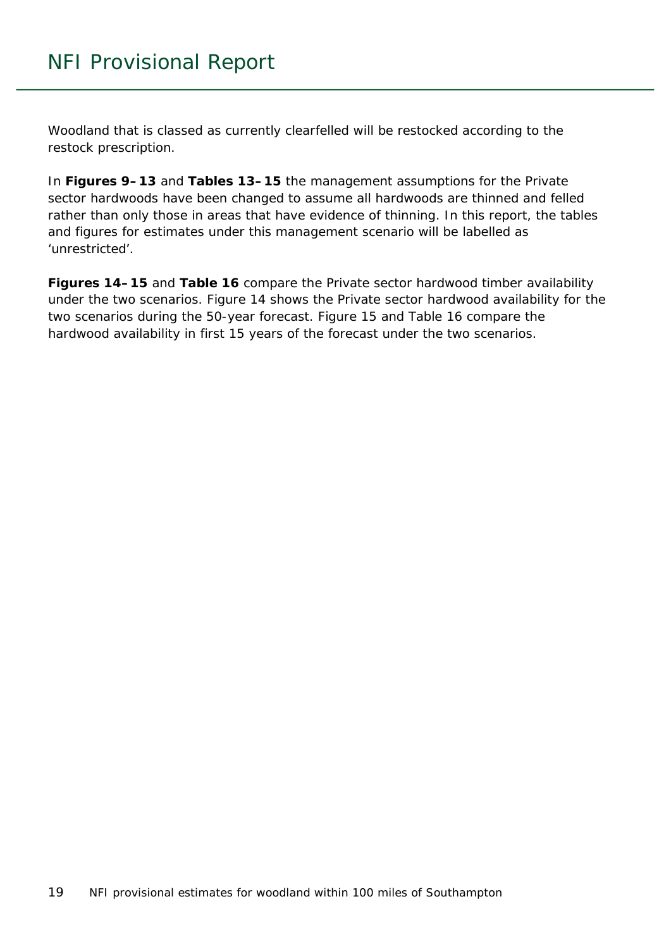Woodland that is classed as currently clearfelled will be restocked according to the restock prescription.

In **Figures 9–13** and **Tables 13–15** the management assumptions for the Private sector hardwoods have been changed to assume all hardwoods are thinned and felled rather than only those in areas that have evidence of thinning. In this report, the tables and figures for estimates under this management scenario will be labelled as 'unrestricted'.

**Figures 14–15** and **Table 16** compare the Private sector hardwood timber availability under the two scenarios. Figure 14 shows the Private sector hardwood availability for the two scenarios during the 50-year forecast. Figure 15 and Table 16 compare the hardwood availability in first 15 years of the forecast under the two scenarios.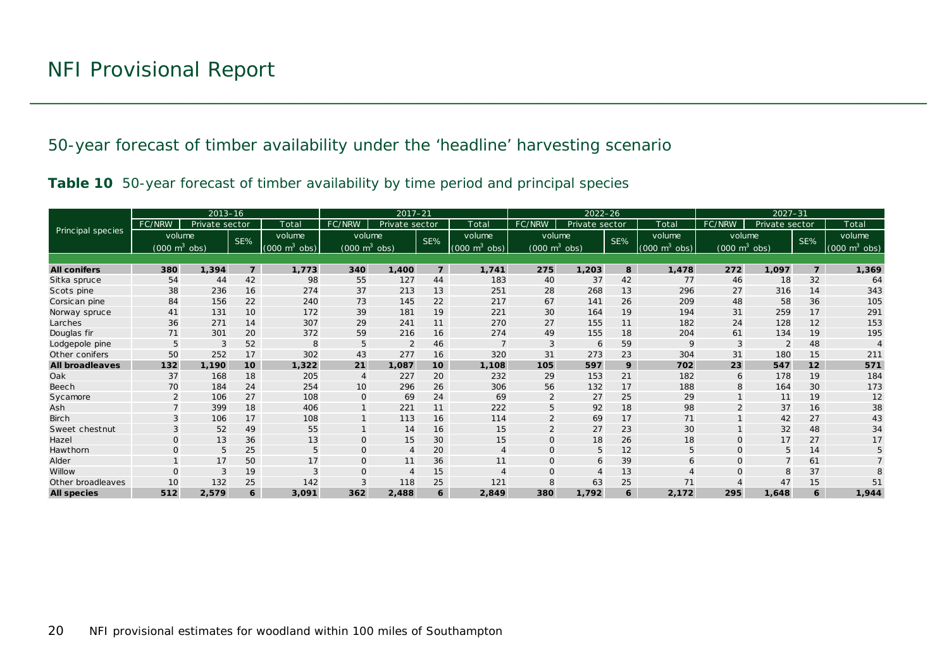50-year forecast of timber availability under the 'headline' harvesting scenario

|  |  | Table 10 50-year forecast of timber availability by time period and principal species |  |  |
|--|--|---------------------------------------------------------------------------------------|--|--|
|  |  |                                                                                       |  |  |

<span id="page-19-0"></span>

|                          |                                 | $2013 - 16$    |                |                                 | $2017 - 21$<br>$2022 - 26$      |                |                |                             | $2027 - 31$                     |                |     |                                 |                                 |                |                |                                 |
|--------------------------|---------------------------------|----------------|----------------|---------------------------------|---------------------------------|----------------|----------------|-----------------------------|---------------------------------|----------------|-----|---------------------------------|---------------------------------|----------------|----------------|---------------------------------|
|                          | FC/NRW                          | Private sector |                | Total                           | FC/NRW                          | Private sector |                | Total                       | FC/NRW                          | Private sector |     | Total                           | FC/NRW                          | Private sector |                | Total                           |
| <b>Principal species</b> | volume                          |                | SE%            | volume                          | volume                          |                | SE%            | volume                      | volume                          |                | SE% | volume                          | volume                          |                | SE%            | volume                          |
|                          | $(000 \text{ m}^3 \text{ obs})$ |                |                | $(000 \text{ m}^3 \text{ obs})$ | $(000 \text{ m}^3 \text{ obs})$ |                |                | $(000 \text{ m}^3)$<br>obs) | $(000 \text{ m}^3 \text{ obs})$ |                |     | $(000 \text{ m}^3 \text{ obs})$ | $(000 \text{ m}^3 \text{ obs})$ |                |                | $(000 \text{ m}^3 \text{ obs})$ |
|                          |                                 |                |                |                                 |                                 |                |                |                             |                                 |                |     |                                 |                                 |                |                |                                 |
| <b>All conifers</b>      | 380                             | 1,394          | $\overline{z}$ | 1,773                           | 340                             | 1,400          | $\overline{7}$ | 1,741                       | 275                             | 1,203          | 8   | 1,478                           | 272                             | 1,097          | $\overline{7}$ | 1,369                           |
| Sitka spruce             | 54                              | 44             | 42             | 98                              | 55                              | 127            | 44             | 183                         | 40                              | 37             | 42  | 77                              | 46                              | 18             | 32             | 64                              |
| Scots pine               | 38                              | 236            | 16             | 274                             | 37                              | 213            | 13             | 251                         | 28                              | 268            | 13  | 296                             | 27                              | 316            | 14             | 343                             |
| Corsican pine            | 84                              | 156            | 22             | 240                             | 73                              | 145            | 22             | 217                         | 67                              | 141            | 26  | 209                             | 48                              | 58             | 36             | 105                             |
| Norway spruce            | 41                              | 131            | 10             | 172                             | 39                              | 181            | 19             | 221                         | 30                              | 164            | 19  | 194                             | 31                              | 259            | 17             | 291                             |
| Larches                  | 36                              | 271            | 14             | 307                             | 29                              | 241            | 11             | 270                         | 27                              | 155            | 11  | 182                             | 24                              | 128            | 12             | 153                             |
| Douglas fir              | 71                              | 301            | 20             | 372                             | 59                              | 216            | 16             | 274                         | 49                              | 155            | 18  | 204                             | 61                              | 134            | 19             | 195                             |
| Lodgepole pine           | 5                               | 3              | 52             | 8                               | 5                               | $\overline{2}$ | 46             |                             | 3                               | 6              | 59  | 9                               | 3                               |                | 48             |                                 |
| Other conifers           | 50                              | 252            | 17             | 302                             | 43                              | 277            | 16             | 320                         | 31                              | 273            | 23  | 304                             | 31                              | 180            | 15             | 211                             |
| <b>All broadleaves</b>   | 132                             | 1,190          | 10             | 1,322                           | 21                              | 1,087          | 10             | 1,108                       | 105                             | 597            | 9   | 702                             | 23                              | 547            | 12             | 571                             |
| Oak                      | 37                              | 168            | 18             | 205                             | $\overline{4}$                  | 227            | 20             | 232                         | 29                              | 153            | 21  | 182                             | 6                               | 178            | 19             | 184                             |
| Beech                    | 70                              | 184            | 24             | 254                             | 10                              | 296            | 26             | 306                         | 56                              | 132            | 17  | 188                             | 8                               | 164            | 30             | 173                             |
| Sycamore                 | $\overline{2}$                  | 106            | 27             | 108                             | $\mathbf{O}$                    | 69             | 24             | 69                          | $\overline{2}$                  | 27             | 25  | 29                              |                                 | 11             | 19             | 12                              |
| Ash                      |                                 | 399            | 18             | 406                             |                                 | 221            | 11             | 222                         |                                 | 92             | 18  | 98                              |                                 | 37             | 16             | 38                              |
| <b>Birch</b>             |                                 | 106            | 17             | 108                             |                                 | 113            | 16             | 114                         |                                 | 69             | 17  | 71                              |                                 | 42             | 27             | 43                              |
| Sweet chestnut           |                                 | 52             | 49             | 55                              |                                 | 14             | 16             | 15                          | $\overline{2}$                  | 27             | 23  | 30                              |                                 | 32             | 48             | 34                              |
| Hazel                    | $\Omega$                        | 13             | 36             | 13                              | $\mathbf{O}$                    | 15             | 30             | 15                          | $\Omega$                        | 18             | 26  | 18                              | $\Omega$                        | 17             | 27             | 17                              |
| Hawthorn                 | $\Omega$                        | 5              | 25             | 5                               | $\mathbf{O}$                    | $\overline{4}$ | 20             | $\overline{4}$              | $\mathbf{O}$                    | 5              | 12  | 5                               | $\Omega$                        | 5              | 14             | 5                               |
| Alder                    |                                 | 17             | 50             | 17                              | $\mathbf{O}$                    | 11             | 36             | 11                          | $\Omega$                        | 6              | 39  | 6                               | $\Omega$                        |                | 61             |                                 |
| Willow                   | $\Omega$                        | 3              | 19             | 3                               | $\mathbf{O}$                    |                | 15             | $\overline{4}$              |                                 | $\overline{4}$ | 13  |                                 | $\Omega$                        | 8              | 37             |                                 |
| Other broadleaves        | 10                              | 132            | 25             | 142                             | 3                               | 118            | 25             | 121                         |                                 | 63             | 25  | 71                              |                                 | 47             | 15             | 51                              |
| <b>All species</b>       | 512                             | 2,579          | 6              | 3,091                           | 362                             | 2,488          | 6              | 2,849                       | 380                             | 1,792          | 6   | 2,172                           | 295                             | 1,648          | 6              | 1,944                           |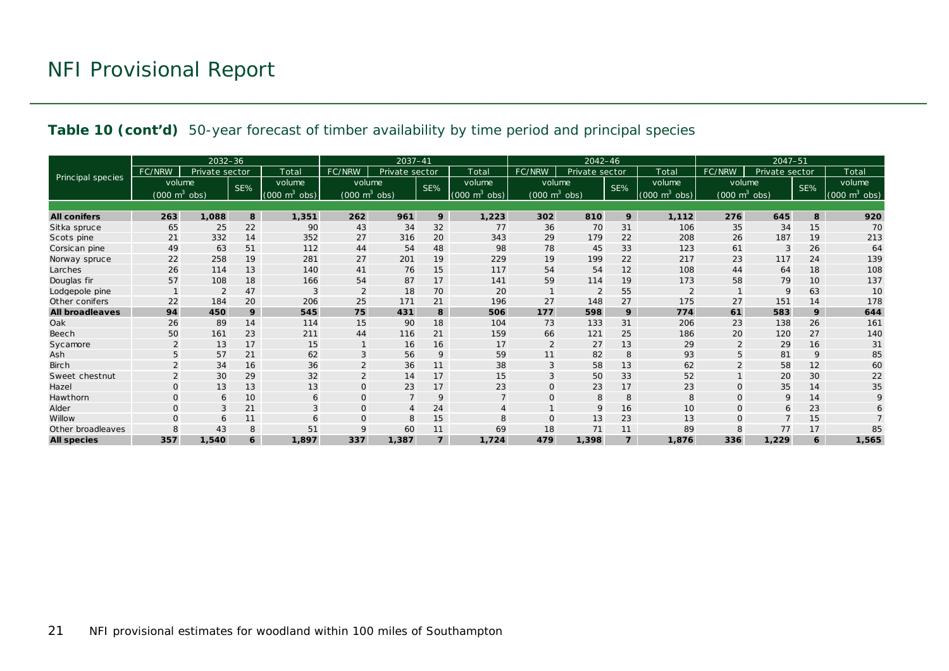#### **Table 10 (cont'd)** 50-year forecast of timber availability by time period and principal species

|                          |                                     | $2032 - 36$    |     |                                 |                                 | 2037-41        |                |                                    | $2042 - 46$                     |                |                |                           | $2047 - 51$                         |                |     |                                 |
|--------------------------|-------------------------------------|----------------|-----|---------------------------------|---------------------------------|----------------|----------------|------------------------------------|---------------------------------|----------------|----------------|---------------------------|-------------------------------------|----------------|-----|---------------------------------|
|                          | FC/NRW                              | Private sector |     | Total                           | FC/NRW                          | Private sector |                | Total                              | FC/NRW                          | Private sector |                | Total                     | FC/NRW                              | Private sector |     | Total                           |
| <b>Principal species</b> | volume                              |                | SE% | volume                          | volume                          |                | SE%            | volume                             | volume                          |                | SE%            | volume                    | volume                              |                | SE% | volume                          |
|                          | $(000 \; \text{m}^3 \; \text{obs})$ |                |     | $(000 \text{ m}^3 \text{ obs})$ | $(000 \text{ m}^3 \text{ obs})$ |                |                | $\sqrt{(000 \text{ m}^3)}$<br>obs) | $(000 \text{ m}^3 \text{ obs})$ |                |                | $m^3$<br>(000)<br>$\cosh$ | $(000 \; \text{m}^3 \; \text{obs})$ |                |     | $(000 \text{ m}^3 \text{ obs})$ |
|                          |                                     |                |     |                                 |                                 |                |                |                                    |                                 |                |                |                           |                                     |                |     |                                 |
| <b>All conifers</b>      | 263                                 | 1,088          | 8   | 1,351                           | 262                             | 961            | 9              | 1,223                              | 302                             | 810            | 9              | 1.112                     | 276                                 | 645            | 8   | 920                             |
| Sitka spruce             | 65                                  | 25             | 22  | 90                              | 43                              | 34             | 32             | 77                                 | 36                              | 70             | 31             | 106                       | 35                                  | 34             | 15  | 70                              |
| Scots pine               | 21                                  | 332            | 14  | 352                             | 27                              | 316            | 20             | 343                                | 29                              | 179            | 22             | 208                       | 26                                  | 187            | 19  | 213                             |
| Corsican pine            | 49                                  | 63             | 51  | 112                             | 44                              | 54             | 48             | 98                                 | 78                              | 45             | 33             | 123                       | 61                                  | 3              | 26  | 64                              |
| Norway spruce            | 22                                  | 258            | 19  | 281                             | 27                              | 201            | 19             | 229                                | 19                              | 199            | 22             | 217                       | 23                                  | 117            | 24  | 139                             |
| Larches                  | 26                                  | 114            | 13  | 140                             | 41                              | 76             | 15             | 117                                | 54                              | 54             | 12             | 108                       | 44                                  | 64             | 18  | 108                             |
| Douglas fir              | 57                                  | 108            | 18  | 166                             | 54                              | 87             | 17             | 141                                | 59                              | 114            | 19             | 173                       | 58                                  | 79             | 10  | 137                             |
| Lodgepole pine           |                                     |                | 47  |                                 | $\overline{2}$                  | 18             | 70             | 20                                 |                                 | 2              | 55             |                           |                                     | 9              | 63  | 10                              |
| Other conifers           | 22                                  | 184            | 20  | 206                             | 25                              | 171            | 21             | 196                                | 27                              | 148            | 27             | 175                       | 27                                  | 151            | 14  | 178                             |
| <b>All broadleaves</b>   | 94                                  | 450            | 9   | 545                             | 75                              | 431            | 8              | 506                                | 177                             | 598            | 9              | 774                       | 61                                  | 583            | 9   | 644                             |
| Oak                      | 26                                  | 89             | 14  | 114                             | 15                              | 90             | 18             | 104                                | 73                              | 133            | 31             | 206                       | 23                                  | 138            | 26  | 161                             |
| Beech                    | 50                                  | 161            | 23  | 211                             | 44                              | 116            | 21             | 159                                | 66                              | 121            | 25             | 186                       | 20                                  | 120            | 27  | 140                             |
| Sycamore                 | $\overline{2}$                      | 13             | 17  | 15                              |                                 | 16             | 16             | 17                                 | 2                               | 27             | 13             | 29                        | $\overline{2}$                      | 29             | 16  | 31                              |
| Ash                      | 5                                   | 57             | 21  | 62                              | 3                               | 56             | 9              | 59                                 | 11                              | 82             | 8              | 93                        | 5                                   | 81             | 9   | 85                              |
| <b>Birch</b>             |                                     | 34             | 16  | 36                              | $\overline{2}$                  | 36             | 11             | 38                                 | 3                               | 58             | 13             | 62                        |                                     | 58             | 12  | 60                              |
| Sweet chestnut           |                                     | 30             | 29  | 32                              | $\overline{2}$                  | 14             | 17             | 15                                 |                                 | 50             | 33             | 52                        |                                     | 20             | 30  | 22                              |
| Hazel                    | $\Omega$                            | 13             | 13  | 13                              | $\overline{O}$                  | 23             | 17             | 23                                 |                                 | 23             | 17             | 23                        | $\Omega$                            | 35             | 14  | 35                              |
| Hawthorn                 | $\Omega$                            | 6              | 10  | 6                               | $\mathbf{O}$                    | $\overline{7}$ | 9              | $\overline{7}$                     | $\Omega$                        | 8              | 8              | 8                         | $\mathbf 0$                         | 9              | 14  | 9                               |
| Alder                    | $\Omega$                            | 3              | 21  | 3                               | $\mathbf{O}$                    | $\overline{4}$ | 24             | 4                                  |                                 | 9              | 16             | 10                        | $\mathbf{O}$                        | 6              | 23  | 6                               |
| Willow                   | $\Omega$                            | 6              | 11  | 6                               | $\mathbf{O}$                    | 8              | 15             | 8                                  | $\Omega$                        | 13             | 23             | 13                        | $\Omega$                            |                | 15  |                                 |
| Other broadleaves        | 8                                   | 43             | 8   | 51                              | 9                               | 60             | 11             | 69                                 | 18                              | 71             | 11             | 89                        |                                     | 77             | 17  | 85                              |
| <b>All species</b>       | 357                                 | 1,540          | 6   | 1.897                           | 337                             | 1,387          | $\overline{7}$ | 1,724                              | 479                             | 1,398          | $\overline{z}$ | 1,876                     | 336                                 | 1,229          | 6   | 1,565                           |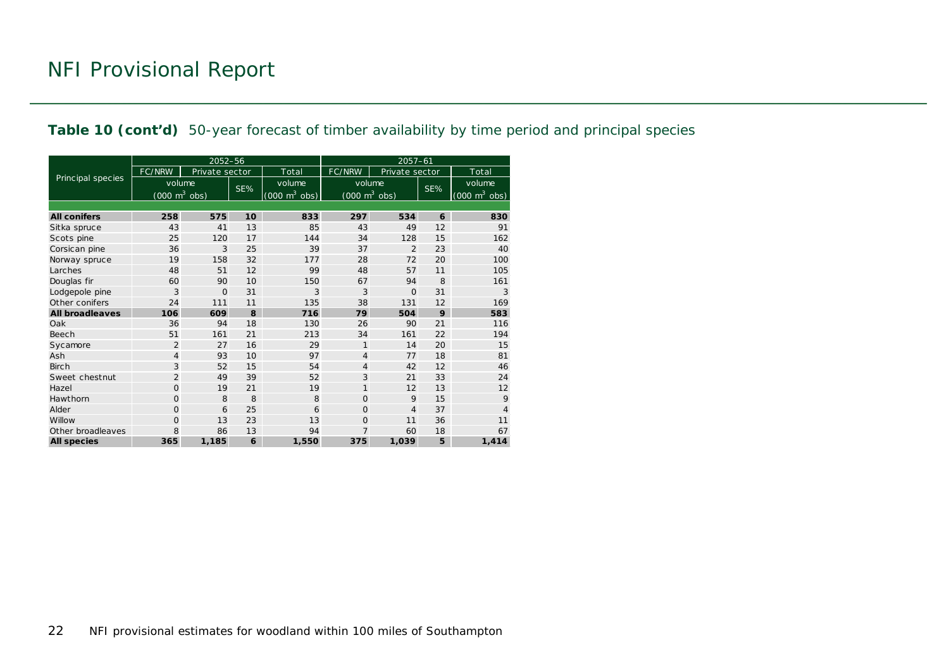#### **Table 10 (cont'd)** 50-year forecast of timber availability by time period and principal species

|                        |                                     | 2052-56        |     |                                 | $2057 - 61$                         |                |     |                                     |  |  |
|------------------------|-------------------------------------|----------------|-----|---------------------------------|-------------------------------------|----------------|-----|-------------------------------------|--|--|
|                        | <b>FC/NRW</b>                       | Private sector |     | Total                           | FC/NRW                              | Private sector |     | Total                               |  |  |
| Principal species      | volume                              |                | SE% | volume                          | volume                              |                | SE% | volume                              |  |  |
|                        | $(000 \; \text{m}^3 \; \text{obs})$ |                |     | $(000 \text{ m}^3 \text{ obs})$ | $(000 \; \text{m}^3 \; \text{obs})$ |                |     | $(000 \; \text{m}^3 \; \text{obs})$ |  |  |
|                        |                                     |                |     |                                 |                                     |                |     |                                     |  |  |
| <b>All conifers</b>    | 258                                 | 575            | 10  | 833                             | 297                                 | 534            | 6   | 830                                 |  |  |
| Sitka spruce           | 43                                  | 41             | 13  | 85                              | 43                                  | 49             | 12  | 91                                  |  |  |
| Scots pine             | 25                                  | 120            | 17  | 144                             | 34                                  | 128            | 15  | 162                                 |  |  |
| Corsican pine          | 36                                  | 3              | 25  | 39                              | 37                                  | $\overline{2}$ | 23  | 40                                  |  |  |
| Norway spruce          | 19                                  | 158            | 32  | 177                             | 28                                  | 72             | 20  | 100                                 |  |  |
| Larches                | 48                                  | 51             | 12  | 99                              | 48                                  | 57             | 11  | 105                                 |  |  |
| Douglas fir            | 60                                  | 90             | 10  | 150                             | 67                                  | 94             | 8   | 161                                 |  |  |
| Lodgepole pine         | 3                                   | $\Omega$       | 31  | 3                               | 3                                   | $\Omega$       | 31  | 3                                   |  |  |
| Other conifers         | 24                                  | 111            | 11  | 135                             | 38                                  | 131            | 12  | 169                                 |  |  |
| <b>All broadleaves</b> | 106                                 | 609            | 8   | 716                             | 79                                  | 504            | 9   | 583                                 |  |  |
| Oak                    | 36                                  | 94             | 18  | 130                             | 26                                  | 90             | 21  | 116                                 |  |  |
| Beech                  | 51                                  | 161            | 21  | 213                             | 34                                  | 161            | 22  | 194                                 |  |  |
| Sycamore               | 2                                   | 27             | 16  | 29                              | $\mathbf{1}$                        | 14             | 20  | 15                                  |  |  |
| Ash                    | 4                                   | 93             | 10  | 97                              | 4                                   | 77             | 18  | 81                                  |  |  |
| <b>Birch</b>           | 3                                   | 52             | 15  | 54                              | 4                                   | 42             | 12  | 46                                  |  |  |
| Sweet chestnut         | $\overline{2}$                      | 49             | 39  | 52                              | 3                                   | 21             | 33  | 24                                  |  |  |
| Hazel                  | $\Omega$                            | 19             | 21  | 19                              | 1                                   | 12             | 13  | 12                                  |  |  |
| Hawthorn               | $\Omega$                            | 8              | 8   | 8                               | $\mathbf{O}$                        | 9              | 15  | 9                                   |  |  |
| Alder                  | $\Omega$                            | 6              | 25  | 6                               | $\Omega$                            | $\overline{4}$ | 37  | 4                                   |  |  |
| Willow                 | $\Omega$                            | 13             | 23  | 13                              | $\Omega$                            | 11             | 36  | 11                                  |  |  |
| Other broadleaves      | 8                                   | 86             | 13  | 94                              | $\overline{7}$                      | 60             | 18  | 67                                  |  |  |
| <b>All species</b>     | 365                                 | 1,185          | 6   | 1,550                           | 375                                 | 1,039          | 5   | 1,414                               |  |  |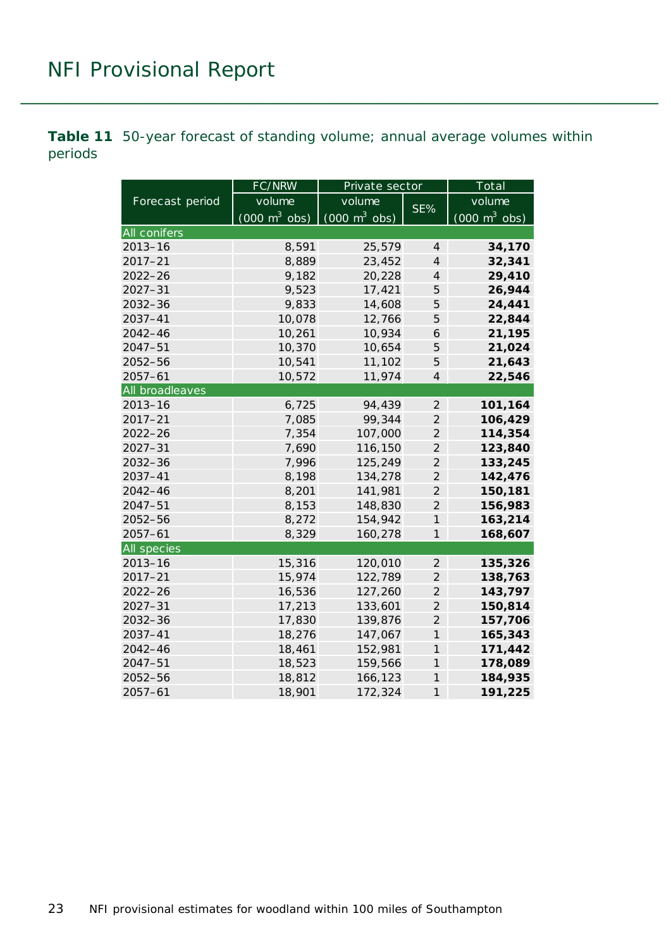<span id="page-22-0"></span>**Table 11** 50-year forecast of standing volume; annual average volumes within periods

|                    | FC/NRW                          | Private sector                  |                | Total                           |
|--------------------|---------------------------------|---------------------------------|----------------|---------------------------------|
| Forecast period    | volume                          | volume                          | SE%            | volume                          |
|                    | $(000 \text{ m}^3 \text{ obs})$ | $(000 \text{ m}^3 \text{ obs})$ |                | $(000 \text{ m}^3 \text{ obs})$ |
| All conifers       |                                 |                                 |                |                                 |
| $2013 - 16$        | 8,591                           | 25,579                          | 4              | 34,170                          |
| $2017 - 21$        | 8,889                           | 23,452                          | $\overline{4}$ | 32,341                          |
| $2022 - 26$        | 9,182                           | 20,228                          | 4              | 29,410                          |
| $2027 - 31$        | 9,523                           | 17,421                          | 5              | 26,944                          |
| $2032 - 36$        | 9,833                           | 14,608                          | 5              | 24,441                          |
| 2037-41            | 10,078                          | 12,766                          | 5              | 22,844                          |
| $2042 - 46$        | 10,261                          | 10,934                          | 6              | 21,195                          |
| $2047 - 51$        | 10,370                          | 10,654                          | 5              | 21,024                          |
| 2052-56            | 10,541                          | 11,102                          | 5              | 21,643                          |
| $2057 - 61$        | 10,572                          | 11,974                          | $\overline{4}$ | 22,546                          |
| All broadleaves    |                                 |                                 |                |                                 |
| $2013 - 16$        | 6,725                           | 94,439                          | $\overline{2}$ | 101,164                         |
| $2017 - 21$        | 7,085                           | 99,344                          | $\overline{2}$ | 106,429                         |
| $2022 - 26$        | 7,354                           | 107,000                         | $\overline{2}$ | 114,354                         |
| $2027 - 31$        | 7,690                           | 116,150                         | $\overline{2}$ | 123,840                         |
| $2032 - 36$        | 7,996                           | 125,249                         | $\overline{2}$ | 133,245                         |
| 2037-41            | 8,198                           | 134,278                         | $\overline{2}$ | 142,476                         |
| $2042 - 46$        | 8,201                           | 141,981                         | $\overline{2}$ | 150,181                         |
| $2047 - 51$        | 8,153                           | 148,830                         | $\overline{2}$ | 156,983                         |
| 2052-56            | 8,272                           | 154,942                         | $\mathcal{I}$  | 163,214                         |
| $2057 - 61$        | 8,329                           | 160,278                         | 1              | 168,607                         |
| <b>All species</b> |                                 |                                 |                |                                 |
| $2013 - 16$        | 15,316                          | 120,010                         | $\overline{2}$ | 135,326                         |
| $2017 - 21$        | 15,974                          | 122,789                         | $\overline{2}$ | 138,763                         |
| $2022 - 26$        | 16,536                          | 127,260                         | $\overline{2}$ | 143,797                         |
| $2027 - 31$        | 17,213                          | 133,601                         | $\overline{2}$ | 150,814                         |
| $2032 - 36$        | 17,830                          | 139,876                         | $\overline{2}$ | 157,706                         |
| 2037-41            | 18,276                          | 147,067                         | $\mathcal{I}$  | 165,343                         |
| $2042 - 46$        | 18,461                          | 152,981                         | 1              | 171,442                         |
| $2047 - 51$        | 18,523                          | 159,566                         | 1              | 178,089                         |
| $2052 - 56$        | 18,812                          | 166,123                         | $\mathcal{I}$  | 184,935                         |
| $2057 - 61$        | 18,901                          | 172,324                         | $\mathcal{I}$  | 191,225                         |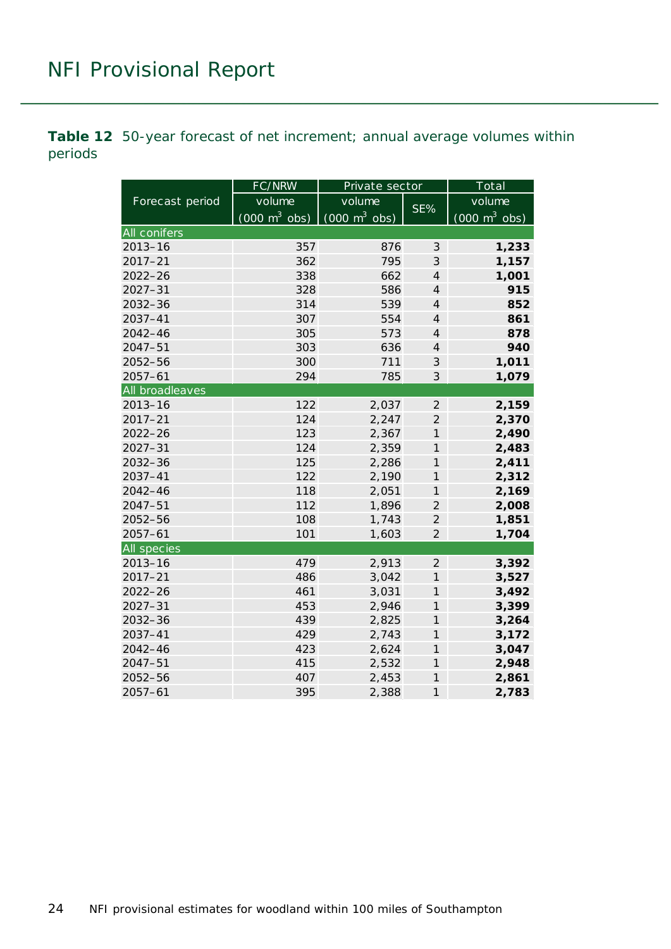<span id="page-23-0"></span>**Table 12** 50-year forecast of net increment; annual average volumes within periods

|                    | FC/NRW                          | Private sector                  |                | $\overline{\text{Total}}$       |
|--------------------|---------------------------------|---------------------------------|----------------|---------------------------------|
| Forecast period    | volume                          | volume                          | SE%            | volume                          |
|                    | $(000 \text{ m}^3 \text{ obs})$ | $(000 \text{ m}^3 \text{ obs})$ |                | $(000 \text{ m}^3 \text{ obs})$ |
| All conifers       |                                 |                                 |                |                                 |
| $2013 - 16$        | 357                             | 876                             | 3              | 1,233                           |
| $2017 - 21$        | 362                             | 795                             | 3              | 1,157                           |
| $2022 - 26$        | 338                             | 662                             | $\overline{4}$ | 1,001                           |
| $2027 - 31$        | 328                             | 586                             | $\overline{4}$ | 915                             |
| $2032 - 36$        | 314                             | 539                             | $\overline{4}$ | 852                             |
| 2037-41            | 307                             | 554                             | $\overline{4}$ | 861                             |
| $2042 - 46$        | 305                             | 573                             | $\overline{4}$ | 878                             |
| $2047 - 51$        | 303                             | 636                             | $\overline{4}$ | 940                             |
| 2052-56            | 300                             | 711                             | 3              | 1,011                           |
| $2057 - 61$        | 294                             | 785                             | 3              | 1,079                           |
| All broadleaves    |                                 |                                 |                |                                 |
| $2013 - 16$        | 122                             | 2,037                           | $\overline{2}$ | 2,159                           |
| $2017 - 21$        | 124                             | 2,247                           | $\overline{2}$ | 2,370                           |
| $2022 - 26$        | 123                             | 2,367                           | $\overline{1}$ | 2,490                           |
| $2027 - 31$        | 124                             | 2,359                           | $\overline{1}$ | 2,483                           |
| 2032-36            | 125                             | 2,286                           | $\mathcal I$   | 2,411                           |
| $2037 - 41$        | 122                             | 2,190                           | $\mathcal{I}$  | 2,312                           |
| $2042 - 46$        | 118                             | 2,051                           | $\mathcal{I}$  | 2,169                           |
| $2047 - 51$        | 112                             | 1,896                           | $\overline{2}$ | 2,008                           |
| 2052-56            | 108                             | 1,743                           | $\overline{2}$ | 1,851                           |
| $2057 - 61$        | 101                             | 1,603                           | $\overline{2}$ | 1,704                           |
| <b>All species</b> |                                 |                                 |                |                                 |
| $2013 - 16$        | 479                             | 2,913                           | $\overline{2}$ | 3,392                           |
| $2017 - 21$        | 486                             | 3,042                           | $\mathcal{I}$  | 3,527                           |
| $2022 - 26$        | 461                             | 3,031                           | $\mathcal{I}$  | 3,492                           |
| $2027 - 31$        | 453                             | 2,946                           | $\mathcal{I}$  | 3,399                           |
| $2032 - 36$        | 439                             | 2,825                           | $\mathcal{I}$  | 3,264                           |
| 2037-41            | 429                             | 2,743                           | $\mathcal{I}$  | 3,172                           |
| $2042 - 46$        | 423                             | 2,624                           | $\mathcal{I}$  | 3,047                           |
| $2047 - 51$        | 415                             | 2,532                           | $\mathcal{I}$  | 2,948                           |
| 2052-56            | 407                             | 2,453                           | $\mathcal{I}$  | 2,861                           |
| $2057 - 61$        | 395                             | 2,388                           | $\mathcal{I}$  | 2,783                           |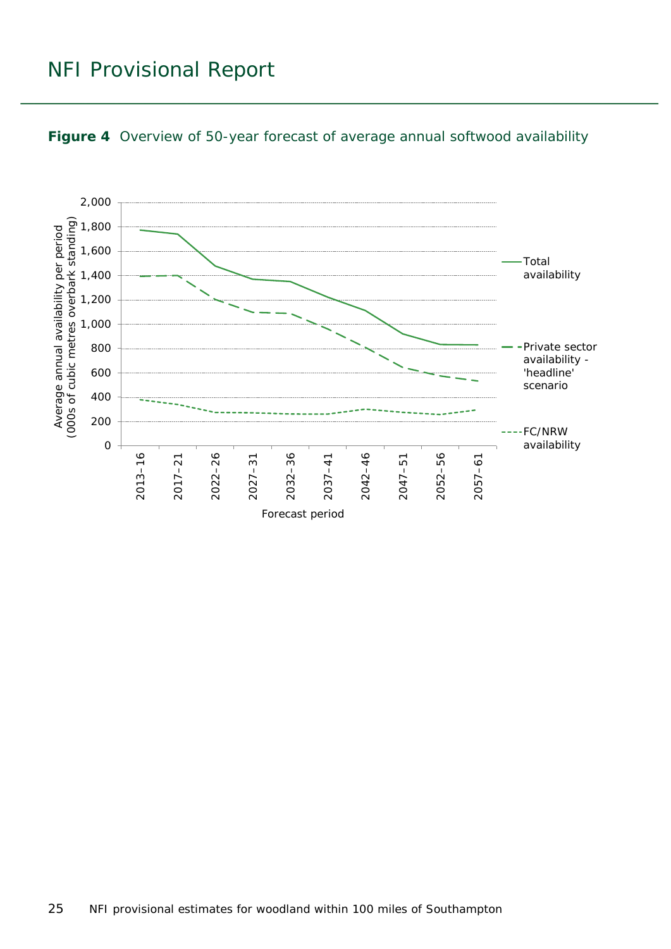

#### <span id="page-24-0"></span>**Figure 4** Overview of 50-year forecast of average annual softwood availability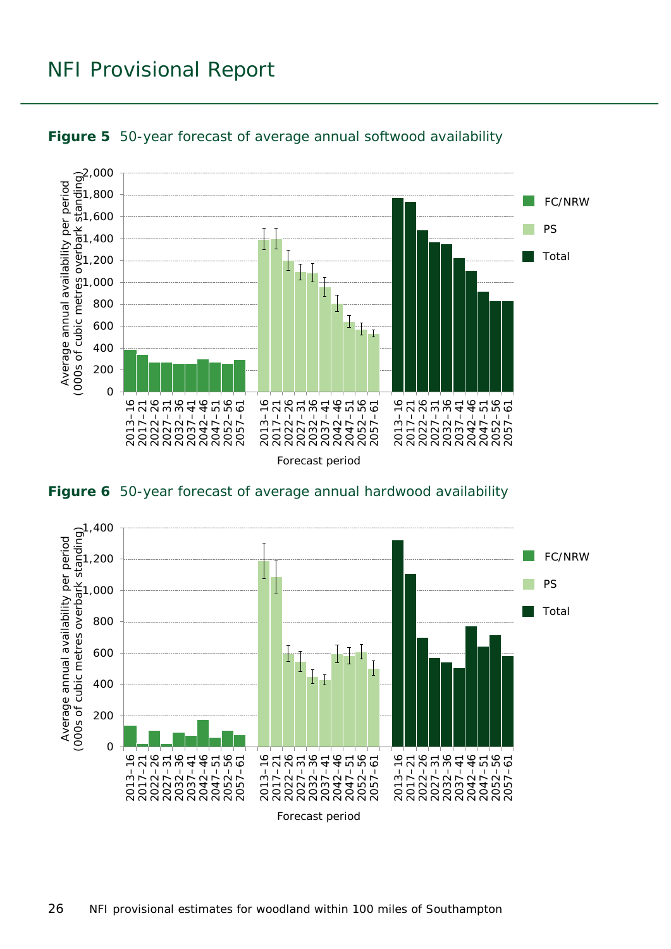

<span id="page-25-0"></span>

<span id="page-25-1"></span>**Figure 6** 50-year forecast of average annual hardwood availability

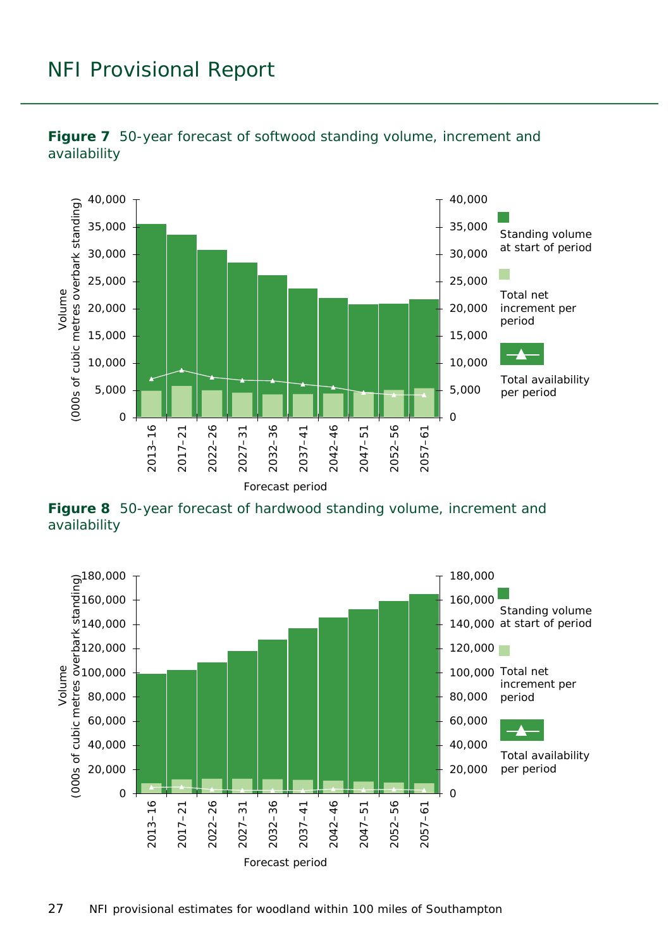

<span id="page-26-0"></span>

<span id="page-26-1"></span>**Figure 8** 50-year forecast of hardwood standing volume, increment and availability

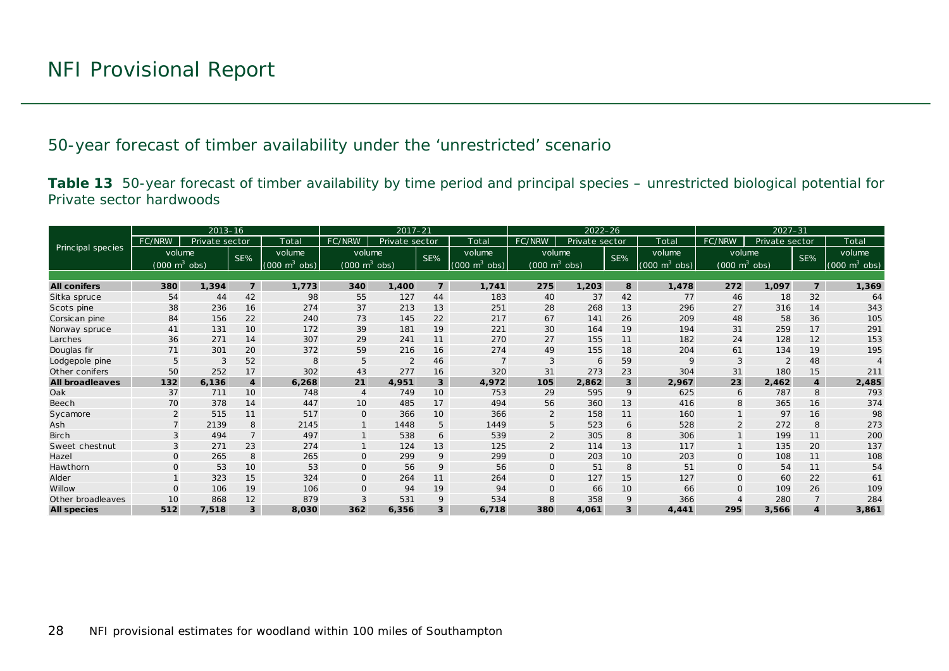50-year forecast of timber availability under the 'unrestricted' scenario

**Table 13** 50-year forecast of timber availability by time period and principal species – unrestricted biological potential for Private sector hardwoods

<span id="page-27-0"></span>

|                          |                                 | $2013 - 16$    |                |                               | $2017 - 21$                     |                |                 | $2022 - 26$                     |                                 |                |                 | $2027 - 31$                     |                                 |                |                |                                 |
|--------------------------|---------------------------------|----------------|----------------|-------------------------------|---------------------------------|----------------|-----------------|---------------------------------|---------------------------------|----------------|-----------------|---------------------------------|---------------------------------|----------------|----------------|---------------------------------|
|                          | FC/NRW                          | Private sector |                | Total                         | FC/NRW                          | Private sector |                 | Total                           | FC/NRW                          | Private sector |                 | Total                           | FC/NRW                          | Private sector |                | Total                           |
| <b>Principal species</b> | volume                          |                | SE%            | volume                        | volume                          |                | SE%             | volume                          | volume                          |                | SE%             | volume                          | volume                          |                | SE%            | volume                          |
|                          | $(000 \text{ m}^3 \text{ obs})$ |                |                | $(000 \; \text{m}^3)$<br>obs) | $(000 \text{ m}^3 \text{ obs})$ |                |                 | $(000 \text{ m}^3 \text{ obs})$ | $(000 \text{ m}^3 \text{ obs})$ |                |                 | $(000 \text{ m}^3 \text{ obs})$ | $(000 \text{ m}^3 \text{ obs})$ |                |                | $(000 \text{ m}^3 \text{ obs})$ |
|                          |                                 |                |                |                               |                                 |                |                 |                                 |                                 |                |                 |                                 |                                 |                |                |                                 |
| <b>All conifers</b>      | 380                             | 1,394          | $\overline{z}$ | 1,773                         | 340                             | 1,400          | $\overline{z}$  | 1,741                           | 275                             | 1,203          | 8               | 1,478                           | 272                             | 1,097          | $\overline{z}$ | 1,369                           |
| Sitka spruce             | 54                              | 44             | 42             | 98                            | 55                              | 127            | 44              | 183                             | 40                              | 37             | 42              | 77                              | 46                              | 18             | 32             | 64                              |
| Scots pine               | 38                              | 236            | 16             | 274                           | 37                              | 213            | 13              | 251                             | 28                              | 268            | 13              | 296                             | 27                              | 316            | 14             | 343                             |
| Corsican pine            | 84                              | 156            | 22             | 240                           | 73                              | 145            | 22              | 217                             | 67                              | 141            | 26              | 209                             | 48                              | 58             | 36             | 105                             |
| Norway spruce            | 41                              | 131            | 10             | 172                           | 39                              | 181            | 19              | 221                             | 30                              | 164            | 19              | 194                             | 31                              | 259            | 17             | 291                             |
| Larches                  | 36                              | 271            | 14             | 307                           | 29                              | 241            | 11              | 270                             | 27                              | 155            | 11              | 182                             | 24                              | 128            | 12             | 153                             |
| Douglas fir              | 71                              | 301            | 20             | 372                           | 59                              | 216            | 16              | 274                             | 49                              | 155            | 18              | 204                             | 61                              | 134            | 19             | 195                             |
| Lodgepole pine           | 5                               | 3              | 52             |                               | 5                               | $\overline{2}$ | 46              |                                 | 3                               | 6              | 59              | 9                               |                                 |                | 48             |                                 |
| Other conifers           | 50                              | 252            | 17             | 302                           | 43                              | 277            | 16              | 320                             | 31                              | 273            | 23              | 304                             | 31                              | 180            | 15             | 211                             |
| <b>All broadleaves</b>   | 132                             | 6.136          | $\overline{4}$ | 6,268                         | 21                              | 4,951          | 3               | 4,972                           | 105                             | 2,862          | $\mathbf{3}$    | 2.967                           | 23                              | 2.462          | $\overline{4}$ | 2,485                           |
| Oak                      | 37                              | 711            | 10             | 748                           | $\overline{4}$                  | 749            | 10              | 753                             | 29                              | 595            | 9               | 625                             | 6                               | 787            | 8              | 793                             |
| Beech                    | 70                              | 378            | 14             | 447                           | 10                              | 485            | 17              | 494                             | 56                              | 360            | 13              | 416                             | 8                               | 365            | 16             | 374                             |
| Sycamore                 | $\overline{2}$                  | 515            | 11             | 517                           | $\mathbf{O}$                    | 366            | 10 <sup>°</sup> | 366                             | $\overline{2}$                  | 158            | 11              | 160                             |                                 | 97             | 16             | 98                              |
| Ash                      |                                 | 2139           | 8              | 2145                          |                                 | 1448           | 5               | 1449                            | 5                               | 523            | 6               | 528                             |                                 | 272            | 8              | 273                             |
| <b>Birch</b>             |                                 | 494            | $\overline{7}$ | 497                           |                                 | 538            | 6               | 539                             |                                 | 305            | 8               | 306                             |                                 | 199            | 11             | 200                             |
| Sweet chestnut           |                                 | 271            | 23             | 274                           |                                 | 124            | 13              | 125                             | $\overline{2}$                  | 114            | 13              | 117                             |                                 | 135            | 20             | 137                             |
| Hazel                    | $\Omega$                        | 265            | 8              | 265                           | $\mathbf{O}$                    | 299            | 9               | 299                             | $\Omega$                        | 203            | 10              | 203                             | $\Omega$                        | 108            | 11             | 108                             |
| Hawthorn                 | $\Omega$                        | 53             | 10             | 53                            | $\mathbf 0$                     | 56             | 9               | 56                              | 0                               | 51             | 8               | 51                              | $\mathbf 0$                     | 54             | 11             | 54                              |
| Alder                    |                                 | 323            | 15             | 324                           | $\mathbf{O}$                    | 264            | 11              | 264                             | $\Omega$                        | 127            | 15              | 127                             | $\Omega$                        | 60             | 22             | 61                              |
| Willow                   | $\Omega$                        | 106            | 19             | 106                           | $\Omega$                        | 94             | 19              | 94                              | $\Omega$                        | 66             | 10 <sup>°</sup> | 66                              |                                 | 109            | 26             | 109                             |
| Other broadleaves        | 10                              | 868            | 12             | 879                           | 3                               | 531            | 9               | 534                             | 8                               | 358            | 9               | 366                             |                                 | 280            |                | 284                             |
| <b>All species</b>       | 512                             | 7,518          | 3              | 8,030                         | 362                             | 6,356          | 3               | 6,718                           | 380                             | 4,061          | $\mathbf{3}$    | 4,441                           | 295                             | 3,566          |                | 3,861                           |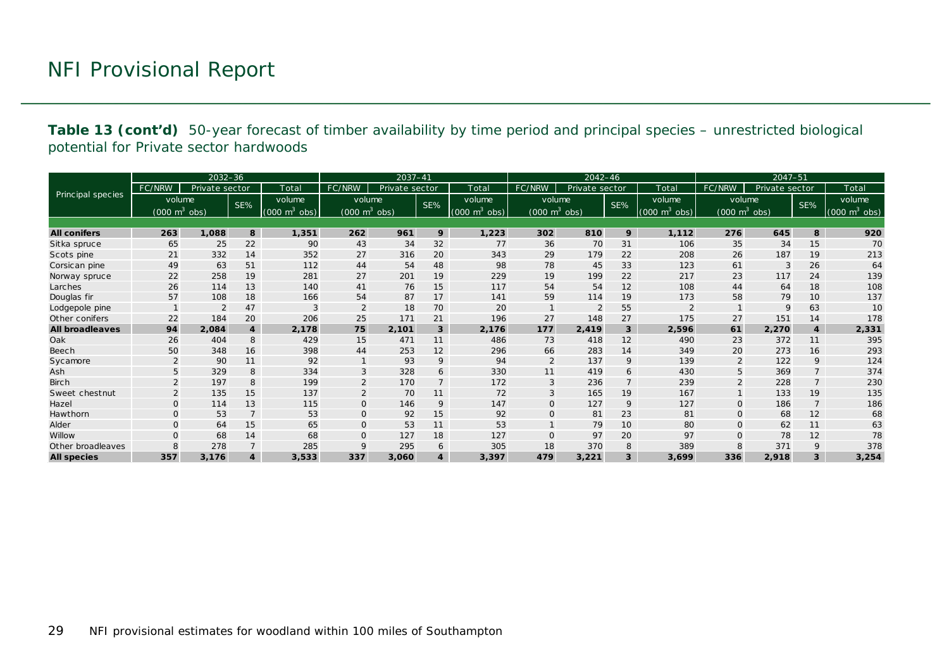**Table 13 (cont'd)** 50-year forecast of timber availability by time period and principal species – unrestricted biological potential for Private sector hardwoods

|                        |                                 | $2032 - 36$    |                  |                             |                                 | $2037 - 41$    |                |                                 |                                 | $2042 - 46$    |                 |                                     |                                     | 2047-51        |                  |                                 |
|------------------------|---------------------------------|----------------|------------------|-----------------------------|---------------------------------|----------------|----------------|---------------------------------|---------------------------------|----------------|-----------------|-------------------------------------|-------------------------------------|----------------|------------------|---------------------------------|
|                        | FC/NRW                          | Private sector |                  | Total                       | FC/NRW                          | Private sector |                | Total                           | FC/NRW                          | Private sector |                 | Total                               | FC/NRW                              | Private sector |                  | Total                           |
| Principal species      | volume                          |                | SE%              | volume                      | volume                          |                | SE%            | volume                          | volume                          |                | SE%             | volume                              | volume                              |                | SE%              | volume                          |
|                        | $(000 \text{ m}^3 \text{ obs})$ |                |                  | $(000 \text{ m}^3)$<br>obs) | $(000 \text{ m}^3 \text{ obs})$ |                |                | $(000 \text{ m}^3 \text{ obs})$ | $(000 \text{ m}^3 \text{ obs})$ |                |                 | $(000 \; \text{m}^3 \; \text{obs})$ | $(000 \; \text{m}^3 \; \text{obs})$ |                |                  | $(000 \text{ m}^3 \text{ obs})$ |
|                        |                                 |                |                  |                             |                                 |                |                |                                 |                                 |                |                 |                                     |                                     |                |                  |                                 |
| <b>All conifers</b>    | 263                             | 1,088          | 8                | 1,351                       | 262                             | 961            | 9              | 1,223                           | 302                             | 810            | 9               | 1,112                               | 276                                 | 645            | 8                | 920                             |
| Sitka spruce           | 65                              | 25             | 22               | 90                          | 43                              | 34             | 32             | 77                              | 36                              | 70             | 31              | 106                                 | 35                                  | 34             | 15               | 70                              |
| Scots pine             | 21                              | 332            | 14               | 352                         | 27                              | 316            | 20             | 343                             | 29                              | 179            | 22              | 208                                 | 26                                  | 187            | 19               | 213                             |
| Corsican pine          | 49                              | 63             | 51               | 112                         | 44                              | 54             | 48             | 98                              | 78                              | 45             | 33              | 123                                 | 61                                  | 3              | 26               | 64                              |
| Norway spruce          | 22                              | 258            | 19               | 281                         | 27                              | 201            | 19             | 229                             | 19                              | 199            | 22              | 217                                 | 23                                  | 117            | 24               | 139                             |
| Larches                | 26                              | 114            | 13               | 140                         | 41                              | 76             | 15             | 117                             | 54                              | 54             | 12              | 108                                 | 44                                  | 64             | 18               | 108                             |
| Douglas fir            | 57                              | 108            | 18               | 166                         | 54                              | 87             | 17             | 141                             | 59                              | 114            | 19              | 173                                 | 58                                  | 79             | 10               | 137                             |
| Lodgepole pine         |                                 | $\overline{2}$ | 47               | 3                           | $\overline{2}$                  | 18             | 70             | 20                              |                                 | $\overline{2}$ | 55              | $\overline{2}$                      |                                     | 9              | 63               | 10                              |
| Other conifers         | 22                              | 184            | 20               | 206                         | 25                              | 171            | 21             | 196                             | 27                              | 148            | 27              | 175                                 | 27                                  | 151            | 14               | 178                             |
| <b>All broadleaves</b> | 94                              | 2,084          | $\boldsymbol{4}$ | 2,178                       | 75                              | 2,101          | $\mathbf{3}$   | 2,176                           | 177                             | 2,419          | $\mathbf{3}$    | 2,596                               | 61                                  | 2,270          | $\boldsymbol{4}$ | 2,331                           |
| Oak                    | 26                              | 404            | 8                | 429                         | 15                              | 471            | 11             | 486                             | 73                              | 418            | 12              | 490                                 | 23                                  | 372            | 11               | 395                             |
| <b>Beech</b>           | 50                              | 348            | 16               | 398                         | 44                              | 253            | 12             | 296                             | 66                              | 283            | 14              | 349                                 | 20                                  | 273            | 16               | 293                             |
| Sycamore               | $\overline{2}$                  | 90             | 11               | 92                          | $\mathbf{1}$                    | 93             | 9              | 94                              | $\overline{2}$                  | 137            | 9               | 139                                 | $\overline{2}$                      | 122            | 9                | 124                             |
| Ash                    | 5                               | 329            | 8                | 334                         | 3                               | 328            | 6              | 330                             | 11                              | 419            | 6               | 430                                 | 5                                   | 369            | $\overline{7}$   | 374                             |
| <b>Birch</b>           | 2                               | 197            | 8                | 199                         | $\overline{2}$                  | 170            | $\overline{7}$ | 172                             | 3                               | 236            | $\overline{7}$  | 239                                 | $\overline{2}$                      | 228            | $\overline{7}$   | 230                             |
| Sweet chestnut         | 2                               | 135            | 15               | 137                         | $\overline{2}$                  | 70             | 11             | 72                              | 3                               | 165            | 19              | 167                                 |                                     | 133            | 19               | 135                             |
| Hazel                  | $\mathbf{O}$                    | 114            | 13               | 115                         | $\mathsf{O}$                    | 146            | 9              | 147                             | $\mathsf{O}$                    | 127            | 9               | 127                                 | $\mathbf{O}$                        | 186            | $\overline{7}$   | 186                             |
| Hawthorn               | $\mathbf{O}$                    | 53             | $\overline{7}$   | 53                          | $\mathbf 0$                     | 92             | 15             | 92                              | $\mathbf{O}$                    | 81             | 23              | 81                                  | $\mathbf{O}$                        | 68             | 12               | 68                              |
| Alder                  | $\Omega$                        | 64             | 15               | 65                          | $\mathbf 0$                     | 53             | 11             | 53                              |                                 | 79             | 10 <sup>°</sup> | 80                                  | $\Omega$                            | 62             | 11               | 63                              |
| Willow                 | $\Omega$                        | 68             | 14               | 68                          | $\mathbf 0$                     | 127            | 18             | 127                             | $\mathbf{O}$                    | 97             | 20              | 97                                  | $\mathbf{O}$                        | 78             | 12               | 78                              |
| Other broadleaves      | 8                               | 278            | $\overline{7}$   | 285                         | 9                               | 295            | 6              | 305                             | 18                              | 370            | 8               | 389                                 | 8                                   | 371            | 9                | 378                             |
| <b>All species</b>     | 357                             | 3,176          | $\overline{4}$   | 3,533                       | 337                             | 3,060          | $\overline{4}$ | 3,397                           | 479                             | 3,221          | 3               | 3,699                               | 336                                 | 2,918          | $\overline{3}$   | 3,254                           |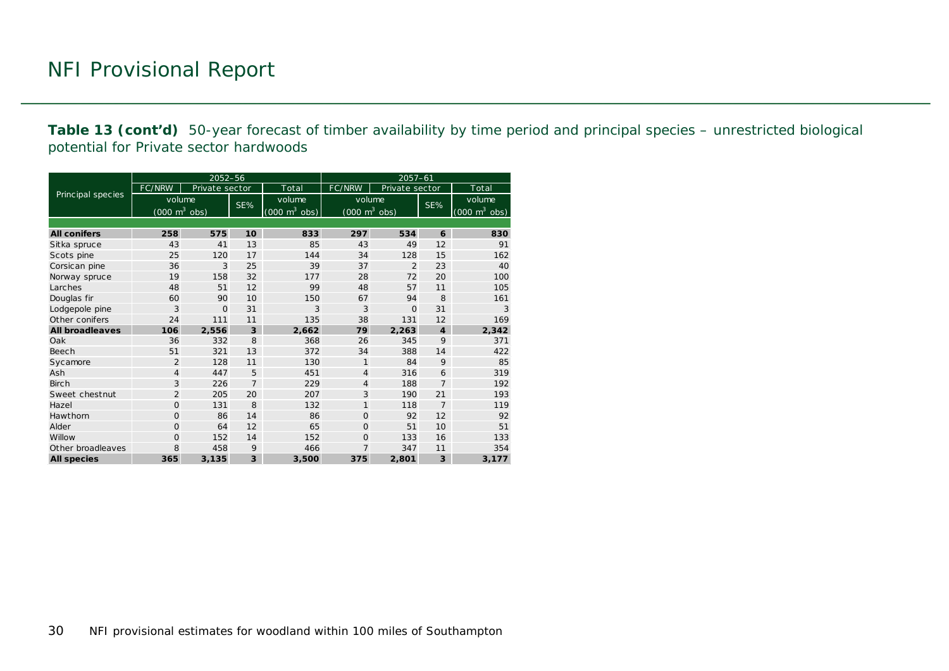**Table 13 (cont'd)** 50-year forecast of timber availability by time period and principal species – unrestricted biological potential for Private sector hardwoods

|                        |                                     | 2052-56        |                |                                     | $2057 - 61$    |                                 |                         |                                 |  |  |
|------------------------|-------------------------------------|----------------|----------------|-------------------------------------|----------------|---------------------------------|-------------------------|---------------------------------|--|--|
|                        | FC/NRW                              | Private sector |                | Total                               | FC/NRW         | Private sector                  |                         | Total                           |  |  |
| Principal species      | volume                              |                | SE%            | volume                              | volume         |                                 |                         | volume                          |  |  |
|                        | $(000 \; \text{m}^3 \; \text{obs})$ |                |                | $(000 \; \text{m}^3 \; \text{obs})$ |                | $(000 \text{ m}^3 \text{ obs})$ | SE%                     | $(000 \text{ m}^3 \text{ obs})$ |  |  |
|                        |                                     |                |                |                                     |                |                                 |                         |                                 |  |  |
| <b>All conifers</b>    | 258                                 | 575            | 10             | 833                                 | 297            | 534                             | 6                       | 830                             |  |  |
| Sitka spruce           | 43                                  | 41             | 13             | 85                                  | 43             | 49                              | 12                      | 91                              |  |  |
| Scots pine             | 25                                  | 120            | 17             | 144                                 | 34             | 128                             | 15                      | 162                             |  |  |
| Corsican pine          | 36                                  | 3              | 25             | 39                                  | 37             | $\overline{2}$                  | 23                      | 40                              |  |  |
| Norway spruce          | 19                                  | 158            | 32             | 177                                 | 28             | 72                              | 20                      | 100                             |  |  |
| Larches                | 48                                  | 51             | 12             | 99                                  | 48             | 57                              | 11                      | 105                             |  |  |
| Douglas fir            | 60                                  | 90             | 10             | 150                                 | 67             | 94                              | 8                       | 161                             |  |  |
| Lodgepole pine         | 3                                   | $\Omega$       | 31             | 3                                   | 3              | $\Omega$                        | 31                      | 3                               |  |  |
| Other conifers         | 24                                  | 111            | 11             | 135                                 | 38             | 131                             | 12                      | 169                             |  |  |
| <b>All broadleaves</b> | 106                                 | 2,556          | 3              | 2,662                               | 79             | 2.263                           | $\boldsymbol{4}$        | 2,342                           |  |  |
| Oak                    | 36                                  | 332            | 8              | 368                                 | 26             | 345                             | 9                       | 371                             |  |  |
| Beech                  | 51                                  | 321            | 1 <sub>3</sub> | 372                                 | 34             | 388                             | 14                      | 422                             |  |  |
| Sycamore               | $\overline{2}$                      | 128            | 11             | 130                                 | $\mathbf{1}$   | 84                              | 9                       | 85                              |  |  |
| Ash                    | $\overline{4}$                      | 447            | 5              | 451                                 | $\overline{4}$ | 316                             | 6                       | 319                             |  |  |
| <b>Birch</b>           | 3                                   | 226            | $\overline{7}$ | 229                                 | $\overline{4}$ | 188                             | $\overline{7}$          | 192                             |  |  |
| Sweet chestnut         | $\overline{2}$                      | 205            | 20             | 207                                 | 3              | 190                             | 21                      | 193                             |  |  |
| Hazel                  | $\Omega$                            | 131            | 8              | 132                                 | $\mathbf{1}$   | 118                             | $\overline{7}$          | 119                             |  |  |
| Hawthorn               | $\Omega$                            | 86             | 14             | 86                                  | $\mathbf{O}$   | 92                              | 12                      | 92                              |  |  |
| Alder                  | $\Omega$                            | 64             | 12             | 65                                  | $\Omega$       | 51                              | 10                      | 51                              |  |  |
| Willow                 | $\Omega$                            | 152            | 14             | 152                                 | $\Omega$       | 133                             | 16                      | 133                             |  |  |
| Other broadleaves      | 8                                   | 458            | 9              | 466                                 | $\overline{7}$ | 347                             | 11                      | 354                             |  |  |
| <b>All species</b>     | 365                                 | 3,135          | 3              | 3,500                               | 375            | 2,801                           | $\overline{\mathbf{3}}$ | 3,177                           |  |  |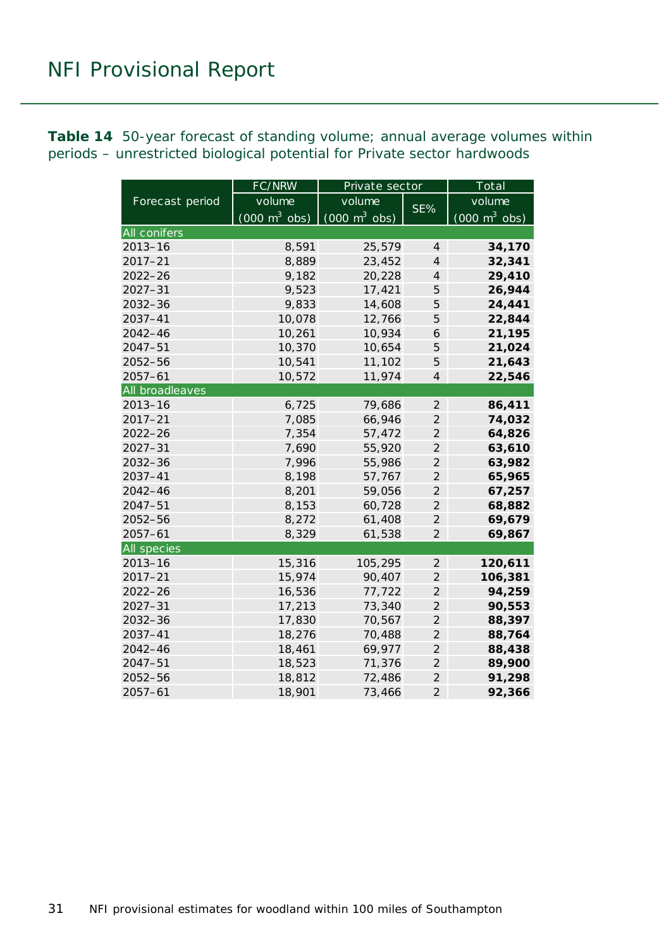<span id="page-30-0"></span>**Table 14** 50-year forecast of standing volume; annual average volumes within periods – unrestricted biological potential for Private sector hardwoods

|                    | FC/NRW                          | Private sector                  |                | Total                           |  |  |
|--------------------|---------------------------------|---------------------------------|----------------|---------------------------------|--|--|
| Forecast period    | volume                          | volume                          |                | volume                          |  |  |
|                    | $(000 \text{ m}^3 \text{ obs})$ | $(000 \text{ m}^3 \text{ obs})$ | SE%            | $(000 \text{ m}^3 \text{ obs})$ |  |  |
| All conifers       |                                 |                                 |                |                                 |  |  |
| $2013 - 16$        | 8,591                           | 25,579                          | $\overline{4}$ | 34,170                          |  |  |
| $2017 - 21$        | 8,889                           | 23,452                          | $\overline{4}$ | 32,341                          |  |  |
| $2022 - 26$        | 9,182                           | 20,228                          | $\overline{4}$ | 29,410                          |  |  |
| $2027 - 31$        | 9,523                           | 17,421                          | 5              | 26,944                          |  |  |
| $2032 - 36$        | 9,833                           | 14,608                          | 5              | 24,441                          |  |  |
| 2037-41            | 10,078                          | 12,766                          | 5              | 22,844                          |  |  |
| $2042 - 46$        | 10,261                          | 10,934                          | 6              | 21,195                          |  |  |
| $2047 - 51$        | 10,370                          | 10,654                          | 5              | 21,024                          |  |  |
| 2052-56            | 10,541                          | 11,102                          | 5              | 21,643                          |  |  |
| $2057 - 61$        | 10,572                          | 11,974                          | $\overline{4}$ | 22,546                          |  |  |
| All broadleaves    |                                 |                                 |                |                                 |  |  |
| $2013 - 16$        | 6,725                           | 79,686                          | $\overline{2}$ | 86,411                          |  |  |
| $2017 - 21$        | 7,085                           | 66,946                          | $\overline{c}$ | 74,032                          |  |  |
| $2022 - 26$        | 7,354                           | 57,472                          | $\overline{2}$ | 64,826                          |  |  |
| $2027 - 31$        | 7,690                           | 55,920                          | $\overline{2}$ | 63,610                          |  |  |
| 2032-36            | 7,996                           | 55,986                          | $\overline{2}$ | 63,982                          |  |  |
| 2037-41            | 8,198                           | 57,767                          | $\overline{2}$ | 65,965                          |  |  |
| 2042-46            | 8,201                           | 59,056                          | $\overline{2}$ | 67,257                          |  |  |
| 2047-51            | 8,153                           | 60,728                          | $\overline{2}$ | 68,882                          |  |  |
| 2052-56            | 8,272                           | 61,408                          | $\overline{2}$ | 69,679                          |  |  |
| $2057 - 61$        | 8,329                           | 61,538                          | $\overline{2}$ | 69,867                          |  |  |
| <b>All species</b> |                                 |                                 |                |                                 |  |  |
| $2013 - 16$        | 15,316                          | 105,295                         | $\mathfrak{2}$ | 120,611                         |  |  |
| $2017 - 21$        | 15,974                          | 90,407                          | $\mathfrak{2}$ | 106,381                         |  |  |
| $2022 - 26$        | 16,536                          | 77,722                          | $\overline{2}$ | 94,259                          |  |  |
| $2027 - 31$        | 17,213                          | 73,340                          | $\mathfrak{2}$ | 90,553                          |  |  |
| $2032 - 36$        | 17,830                          | 70,567                          | $\overline{2}$ | 88,397                          |  |  |
| 2037-41            | 18,276                          | 70,488                          | $\overline{c}$ | 88,764                          |  |  |
| $2042 - 46$        | 18,461                          | 69,977                          | $\overline{2}$ | 88,438                          |  |  |
| $2047 - 51$        | 18,523                          | 71,376                          | $\overline{2}$ | 89,900                          |  |  |
| $2052 - 56$        | 18,812                          | 72,486                          | $\overline{2}$ | 91,298                          |  |  |
| $2057 - 61$        | 18,901                          | 73,466                          | $\overline{2}$ | 92,366                          |  |  |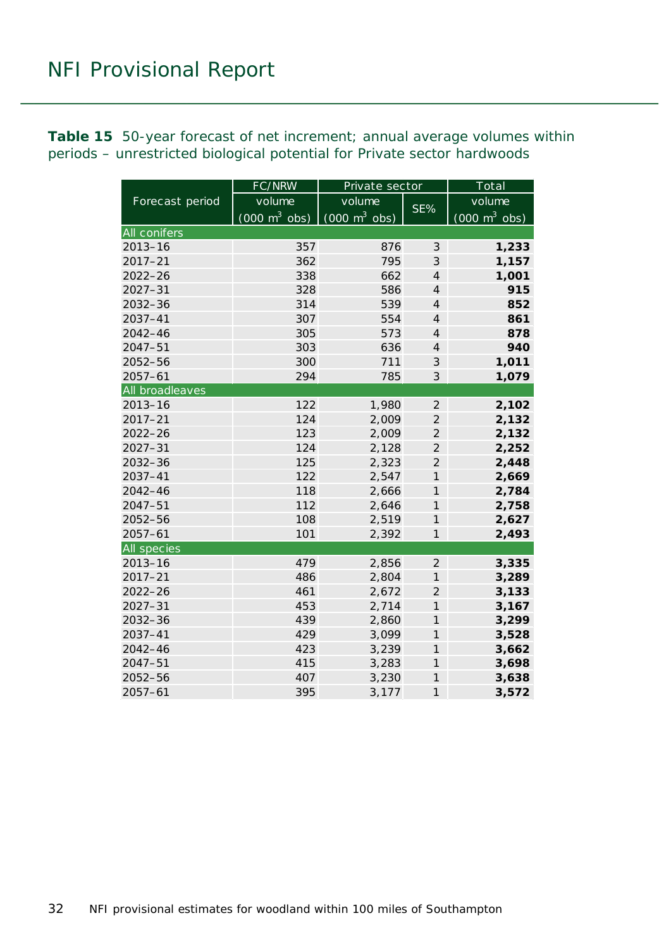<span id="page-31-0"></span>**Table 15** 50-year forecast of net increment; annual average volumes within periods – unrestricted biological potential for Private sector hardwoods

|                    | FC/NRW                          | Private sector                  | Total               |                                 |  |
|--------------------|---------------------------------|---------------------------------|---------------------|---------------------------------|--|
| Forecast period    | volume                          | volume                          |                     | volume                          |  |
|                    | $(000 \text{ m}^3 \text{ obs})$ | $(000 \text{ m}^3 \text{ obs})$ | SE%                 | $(000 \text{ m}^3 \text{ obs})$ |  |
| All conifers       |                                 |                                 |                     |                                 |  |
| $2013 - 16$        | 357                             | 876                             | $\mathfrak{Z}$      | 1,233                           |  |
| $2017 - 21$        | 362                             | 795                             | 3                   | 1,157                           |  |
| 2022-26            | 338                             | 662                             | $\overline{4}$      | 1,001                           |  |
| $2027 - 31$        | 328                             | 586                             | $\overline{4}$      | 915                             |  |
| 2032-36            | 314                             | 539                             | $\overline{4}$      | 852                             |  |
| 2037-41            | 307                             | 554                             | $\overline{4}$      | 861                             |  |
| 2042-46            | 305                             | 573                             | $\overline{4}$      | 878                             |  |
| $2047 - 51$        | 303                             | 636                             | $\overline{4}$      | 940                             |  |
| 2052-56            | 300                             | 711                             | 3                   | 1,011                           |  |
| $2057 - 61$        | 294                             | 785                             | $\mathfrak{Z}$      | 1,079                           |  |
| All broadleaves    |                                 |                                 |                     |                                 |  |
| $2013 - 16$        | 122                             | 1,980                           | $\overline{2}$      | 2,102                           |  |
| $2017 - 21$        | 124                             | 2,009                           | $\overline{2}$      | 2,132                           |  |
| $2022 - 26$        | 123                             | 2,009                           | $\overline{2}$      | 2,132                           |  |
| $2027 - 31$        | 124                             | 2,128                           | $\overline{2}$      | 2,252                           |  |
| 2032-36            | 125                             | 2,323                           | $\overline{2}$      | 2,448                           |  |
| $2037 - 41$        | 122                             | 2,547                           | $\overline{1}$      | 2,669                           |  |
| $2042 - 46$        | 118                             | 2,666                           | $\mathcal{I}$       | 2,784                           |  |
| $2047 - 51$        | 112                             | 2,646                           | $\mathcal{I}$       | 2,758                           |  |
| 2052-56            | 108                             | 2,519                           | $\mathcal{I}$       | 2,627                           |  |
| $2057 - 61$        | 101                             | 2,392                           | $\mathcal{I}$       | 2,493                           |  |
| <b>All species</b> |                                 |                                 |                     |                                 |  |
| $2013 - 16$        | 479                             | 2,856                           | $\overline{2}$      | 3,335                           |  |
| $2017 - 21$        | 486                             | 2,804                           | $\mathcal{I}$       | 3,289                           |  |
| $2022 - 26$        | 461                             | 2,672                           | $\overline{2}$      | 3,133                           |  |
| $2027 - 31$        | 453                             | 2,714                           | $\mathcal{I}$       | 3,167                           |  |
| 2032-36            | 439                             | 2,860                           | $\mathcal{I}$       | 3,299                           |  |
| $2037 - 41$        | 429                             | 3,099                           | $\mathcal{I}$       | 3,528                           |  |
| 2042-46            | 423                             | 3,239                           | $\mathcal{I}$       | 3,662                           |  |
| 2047-51            | 415                             | 3,283                           | $\boldsymbol{\eta}$ | 3,698                           |  |
| 2052-56            | 407                             | 3,230                           | $\mathcal{I}$       | 3,638                           |  |
| $2057 - 61$        | 395                             | 3,177                           | $\mathcal{I}$       | 3,572                           |  |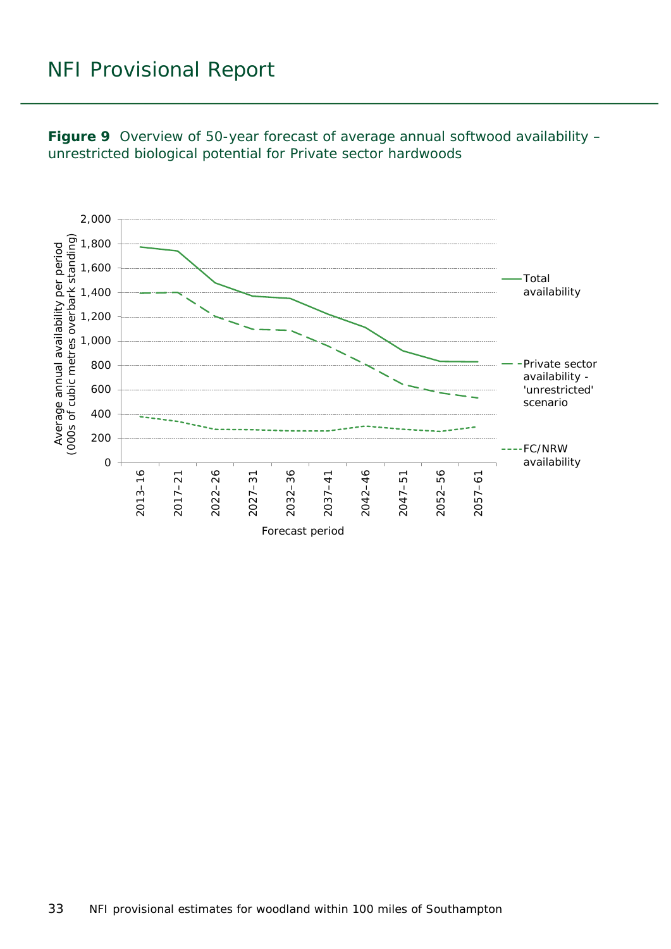<span id="page-32-0"></span>

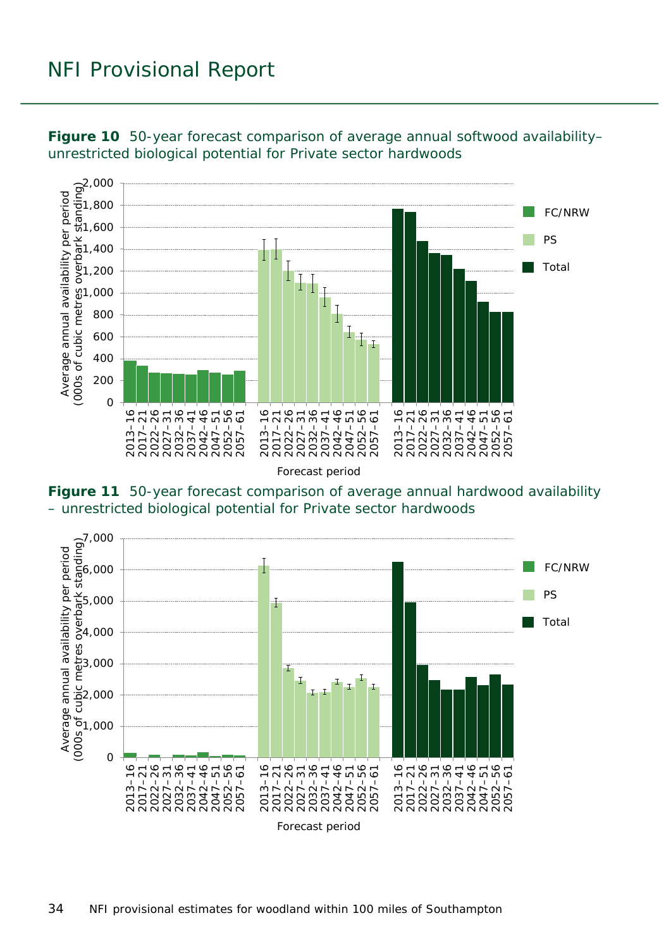

<span id="page-33-0"></span>**Figure 10** 50-year forecast comparison of average annual softwood availability– unrestricted biological potential for Private sector hardwoods

<span id="page-33-1"></span>**Figure 11** 50-year forecast comparison of average annual hardwood availability – unrestricted biological potential for Private sector hardwoods

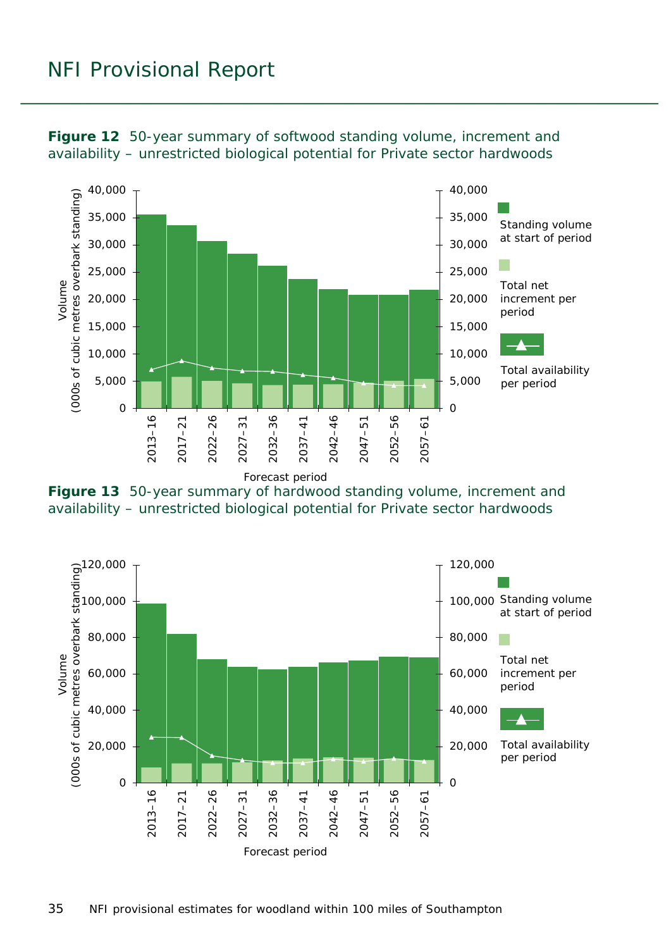

<span id="page-34-0"></span>**Figure 12** 50-year summary of softwood standing volume, increment and availability – unrestricted biological potential for Private sector hardwoods

<span id="page-34-1"></span>

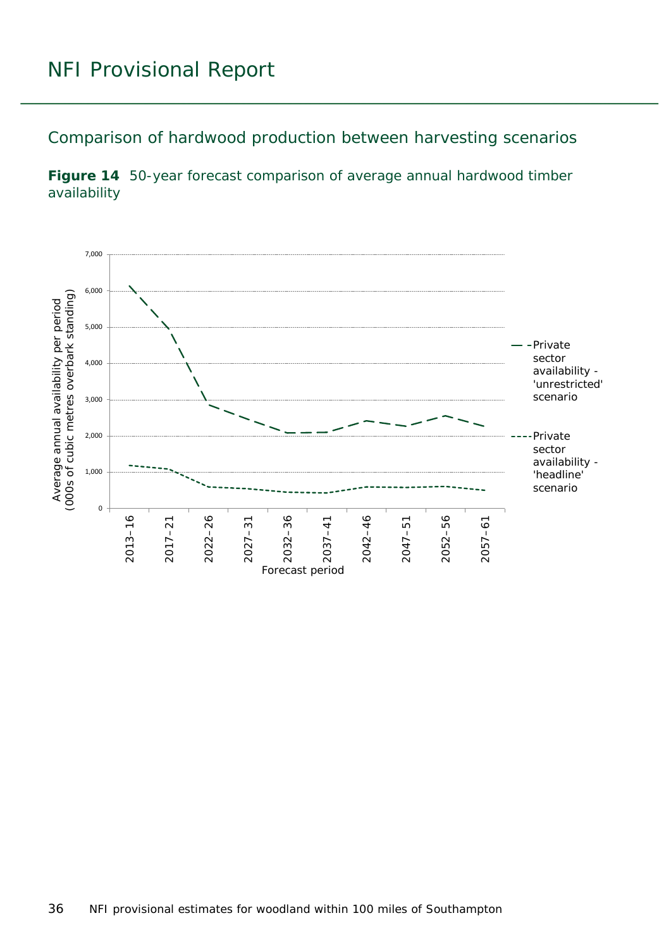Comparison of hardwood production between harvesting scenarios

<span id="page-35-0"></span>

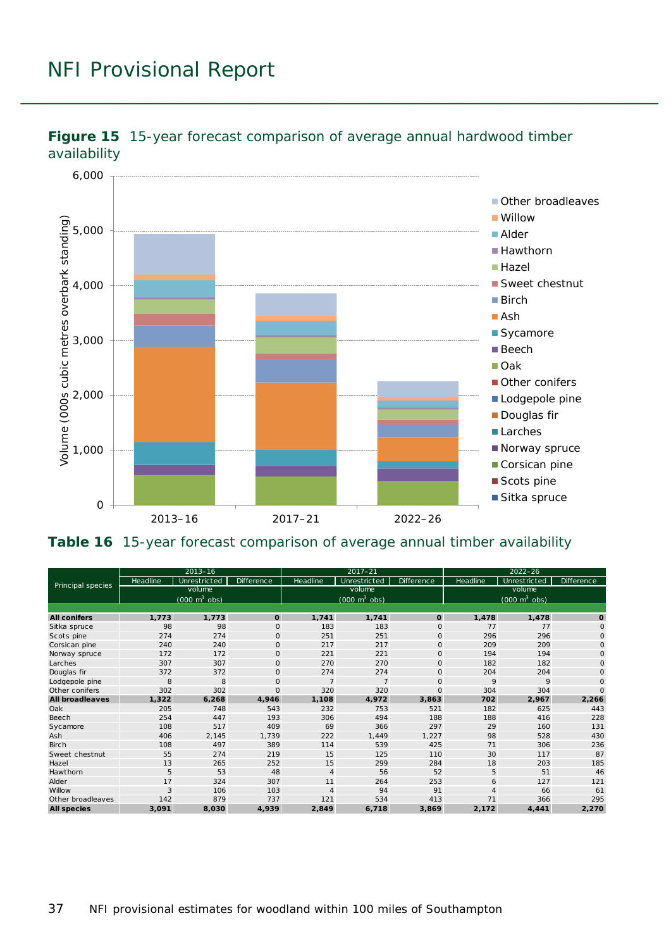

<span id="page-36-0"></span>

<span id="page-36-1"></span>**Table 16** 15-year forecast comparison of average annual timber availability

| Principal species      | $2013 - 16$ |                                 |                   | $2017 - 21$    |                                 |              | $2022 - 26$ |                                 |              |
|------------------------|-------------|---------------------------------|-------------------|----------------|---------------------------------|--------------|-------------|---------------------------------|--------------|
|                        | Headline    | Unrestricted                    | <b>Difference</b> | Headline       | Unrestricted                    | Difference   | Headline    | Unrestricted                    | Difference   |
|                        | volume      |                                 |                   | volume         |                                 |              | volume      |                                 |              |
|                        |             | $(000 \text{ m}^3 \text{ obs})$ |                   |                | $(000 \text{ m}^3 \text{ obs})$ |              |             | $(000 \text{ m}^3 \text{ obs})$ |              |
|                        |             |                                 |                   |                |                                 |              |             |                                 |              |
| <b>All conifers</b>    | 1,773       | 1,773                           | O                 | 1,741          | 1,741                           | $\mathbf 0$  | 1,478       | 1,478                           | $\mathbf{o}$ |
| Sitka spruce           | 98          | 98                              | $\circ$           | 183            | 183                             | $\mathsf{O}$ | 77          | 77                              | $\mathsf{O}$ |
| Scots pine             | 274         | 274                             | $\circ$           | 251            | 251                             | $\mathsf{O}$ | 296         | 296                             | $\mathsf{O}$ |
| Corsic an pine         | 240         | 240                             | $\circ$           | 217            | 217                             | $\mathsf{O}$ | 209         | 209                             | $\mathsf{O}$ |
| Norway spruce          | 172         | 172                             | $\mathbf 0$       | 221            | 221                             | $\mathsf{O}$ | 194         | 194                             | $\mathsf{O}$ |
| Larches                | 307         | 307                             | $\mathbf 0$       | 270            | 270                             | $\mathbf{O}$ | 182         | 182                             | $\circ$      |
| Douglas fir            | 372         | 372                             | $\circ$           | 274            | 274                             | $\mathsf{O}$ | 204         | 204                             | 0            |
| Lodgepole pine         | 8           | 8                               | $\circ$           | $\overline{7}$ | $\overline{7}$                  | $\mathsf{O}$ | 9           | 9                               | $\mathsf{O}$ |
| Other conifers         | 302         | 302                             | $\circ$           | 320            | 320                             | $\mathbf{O}$ | 304         | 304                             | $\Omega$     |
| <b>All broadleaves</b> | 1,322       | 6,268                           | 4,946             | 1,108          | 4,972                           | 3,863        | 702         | 2,967                           | 2,266        |
| Oak                    | 205         | 748                             | 543               | 232            | 753                             | 521          | 182         | 625                             | 443          |
| Beech                  | 254         | 447                             | 193               | 306            | 494                             | 188          | 188         | 416                             | 228          |
| Sycamore               | 108         | 517                             | 409               | 69             | 366                             | 297          | 29          | 160                             | 131          |
| Ash                    | 406         | 2,145                           | 1,739             | 222            | 1,449                           | 1,227        | 98          | 528                             | 430          |
| <b>Birch</b>           | 108         | 497                             | 389               | 114            | 539                             | 425          | 71          | 306                             | 236          |
| Sweet chestnut         | 55          | 274                             | 219               | 15             | 125                             | 110          | 30          | 117                             | 87           |
| Hazel                  | 13          | 265                             | 252               | 15             | 299                             | 284          | 18          | 203                             | 185          |
| Hawthorn               | 5           | 53                              | 48                | $\overline{4}$ | 56                              | 52           | 5           | 51                              | 46           |
| Alder                  | 17          | 324                             | 307               | 11             | 264                             | 253          | 6           | 127                             | 121          |
| Willow                 | 3           | 106                             | 103               | 4              | 94                              | 91           |             | 66                              | 61           |
| Other broadleaves      | 142         | 879                             | 737               | 121            | 534                             | 413          | 71          | 366                             | 295          |
| <b>All species</b>     | 3,091       | 8,030                           | 4,939             | 2,849          | 6,718                           | 3,869        | 2,172       | 4,441                           | 2,270        |